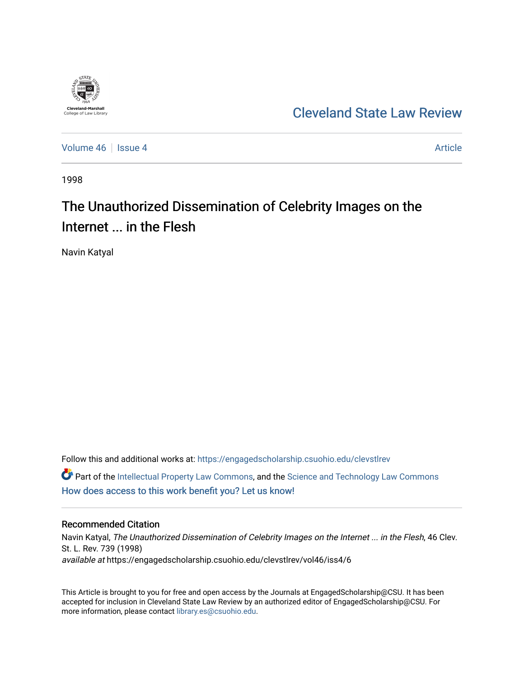

[Cleveland State Law Review](https://engagedscholarship.csuohio.edu/clevstlrev) 

[Volume 46](https://engagedscholarship.csuohio.edu/clevstlrev/vol46) Session 4 [Article](https://engagedscholarship.csuohio.edu/clevstlrev/vol46/iss4/6) 3 Article 3 Article

1998

# The Unauthorized Dissemination of Celebrity Images on the Internet ... in the Flesh

Navin Katyal

Follow this and additional works at: [https://engagedscholarship.csuohio.edu/clevstlrev](https://engagedscholarship.csuohio.edu/clevstlrev?utm_source=engagedscholarship.csuohio.edu%2Fclevstlrev%2Fvol46%2Fiss4%2F6&utm_medium=PDF&utm_campaign=PDFCoverPages) **P** Part of the [Intellectual Property Law Commons,](http://network.bepress.com/hgg/discipline/896?utm_source=engagedscholarship.csuohio.edu%2Fclevstlrev%2Fvol46%2Fiss4%2F6&utm_medium=PDF&utm_campaign=PDFCoverPages) and the Science and Technology Law Commons [How does access to this work benefit you? Let us know!](http://library.csuohio.edu/engaged/)

## Recommended Citation

Navin Katyal, The Unauthorized Dissemination of Celebrity Images on the Internet ... in the Flesh, 46 Clev. St. L. Rev. 739 (1998) available at https://engagedscholarship.csuohio.edu/clevstlrev/vol46/iss4/6

This Article is brought to you for free and open access by the Journals at EngagedScholarship@CSU. It has been accepted for inclusion in Cleveland State Law Review by an authorized editor of EngagedScholarship@CSU. For more information, please contact [library.es@csuohio.edu](mailto:library.es@csuohio.edu).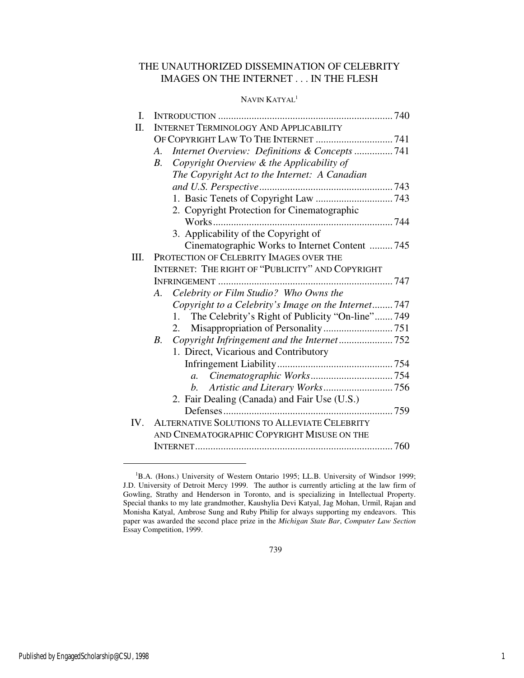## THE UNAUTHORIZED DISSEMINATION OF CELEBRITY IMAGES ON THE INTERNET . . . IN THE FLESH

## NAVIN KATYAL<sup>1</sup>

| $\mathbf{I}$ . |                                                             |  |  |
|----------------|-------------------------------------------------------------|--|--|
| Π.             | <b>INTERNET TERMINOLOGY AND APPLICABILITY</b>               |  |  |
|                | OF COPYRIGHT LAW TO THE INTERNET  741                       |  |  |
|                | Internet Overview: Definitions & Concepts  741<br>А.        |  |  |
|                | Copyright Overview & the Applicability of<br>$B_{\cdot}$    |  |  |
|                | The Copyright Act to the Internet: A Canadian               |  |  |
|                |                                                             |  |  |
|                |                                                             |  |  |
|                | 2. Copyright Protection for Cinematographic                 |  |  |
|                |                                                             |  |  |
|                | 3. Applicability of the Copyright of                        |  |  |
|                | Cinematographic Works to Internet Content 745               |  |  |
| III.           | PROTECTION OF CELEBRITY IMAGES OVER THE                     |  |  |
|                | INTERNET: THE RIGHT OF "PUBLICITY" AND COPYRIGHT            |  |  |
|                |                                                             |  |  |
|                | Celebrity or Film Studio? Who Owns the<br>A.                |  |  |
|                | Copyright to a Celebrity's Image on the Internet747         |  |  |
|                | The Celebrity's Right of Publicity "On-line" 749<br>$1_{-}$ |  |  |
|                | 2.                                                          |  |  |
|                | $B_{\cdot}$                                                 |  |  |
|                | 1. Direct, Vicarious and Contributory                       |  |  |
|                |                                                             |  |  |
|                | $a_{\cdot}$                                                 |  |  |
|                | b.                                                          |  |  |
|                | 2. Fair Dealing (Canada) and Fair Use (U.S.)                |  |  |
|                |                                                             |  |  |
| IV.            | ALTERNATIVE SOLUTIONS TO ALLEVIATE CELEBRITY                |  |  |
|                | AND CINEMATOGRAPHIC COPYRIGHT MISUSE ON THE                 |  |  |
|                |                                                             |  |  |

 $\overline{a}$ 

<sup>&</sup>lt;sup>1</sup>B.A. (Hons.) University of Western Ontario 1995; LL.B. University of Windsor 1999; J.D. University of Detroit Mercy 1999. The author is currently articling at the law firm of Gowling, Strathy and Henderson in Toronto, and is specializing in Intellectual Property. Special thanks to my late grandmother, Kaushylia Devi Katyal, Jag Mohan, Urmil, Rajan and Monisha Katyal, Ambrose Sung and Ruby Philip for always supporting my endeavors. This paper was awarded the second place prize in the *Michigan State Bar*, *Computer Law Section*  Essay Competition, 1999.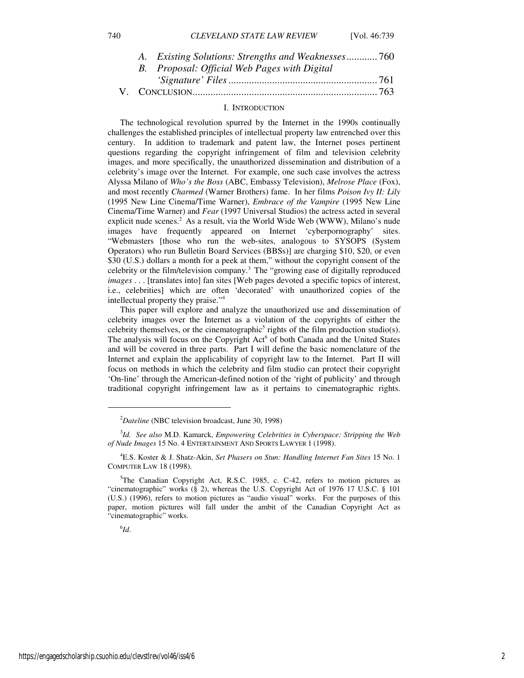*A. Existing Solutions: Strengths and Weaknesses*............ 760 *B. Official Web Pages with Digital* 

|  | B. Proposal: Official Web Pages with Digital |
|--|----------------------------------------------|
|  |                                              |
|  |                                              |

## I. INTRODUCTION

The technological revolution spurred by the Internet in the 1990s continually challenges the established principles of intellectual property law entrenched over this century. In addition to trademark and patent law, the Internet poses pertinent questions regarding the copyright infringement of film and television celebrity images, and more specifically, the unauthorized dissemination and distribution of a celebrity's image over the Internet. For example, one such case involves the actress Alyssa Milano of *Who's the Boss* (ABC, Embassy Television), *Melrose Place* (Fox), and most recently *Charmed* (Warner Brothers) fame. In her films *Poison Ivy II: Lily*  (1995 New Line Cinema/Time Warner), *Embrace of the Vampire* (1995 New Line Cinema/Time Warner) and *Fear* (1997 Universal Studios) the actress acted in several explicit nude scenes.<sup>2</sup> As a result, via the World Wide Web (WWW), Milano's nude images have frequently appeared on Internet 'cyberpornography' sites. "Webmasters [those who run the web-sites, analogous to SYSOPS (System Operators) who run Bulletin Board Services (BBSs)] are charging \$10, \$20, or even \$30 (U.S.) dollars a month for a peek at them," without the copyright consent of the celebrity or the film/television company.<sup>3</sup> The "growing ease of digitally reproduced *images* . . . [translates into] fan sites [Web pages devoted a specific topics of interest, i.e., celebrities] which are often 'decorated' with unauthorized copies of the intellectual property they praise."<sup>4</sup>

This paper will explore and analyze the unauthorized use and dissemination of celebrity images over the Internet as a violation of the copyrights of either the celebrity themselves, or the cinematographic<sup>5</sup> rights of the film production studio(s). The analysis will focus on the Copyright Act<sup>6</sup> of both Canada and the United States and will be covered in three parts. Part I will define the basic nomenclature of the Internet and explain the applicability of copyright law to the Internet. Part II will focus on methods in which the celebrity and film studio can protect their copyright 'On-line' through the American-defined notion of the 'right of publicity' and through traditional copyright infringement law as it pertains to cinematographic rights.

## 6 *Id*.

j

<sup>2</sup>*Dateline* (NBC television broadcast, June 30, 1998)

<sup>3</sup> *Id. See also* M.D. Kamarck, *Empowering Celebrities in Cyberspace: Stripping the Web of Nude Images* 15 No. 4 ENTERTAINMENT AND SPORTS LAWYER 1 (1998).

<sup>4</sup>E.S. Koster & J. Shatz-Akin, *Set Phasers on Stun: Handling Internet Fan Sites* 15 No. 1 COMPUTER LAW 18 (1998).

<sup>&</sup>lt;sup>5</sup>The Canadian Copyright Act, R.S.C. 1985, c. C-42, refers to motion pictures as "cinematographic" works (§ 2), whereas the U.S. Copyright Act of 1976 17 U.S.C. § 101 (U.S.) (1996), refers to motion pictures as "audio visual" works. For the purposes of this paper, motion pictures will fall under the ambit of the Canadian Copyright Act as "cinematographic" works.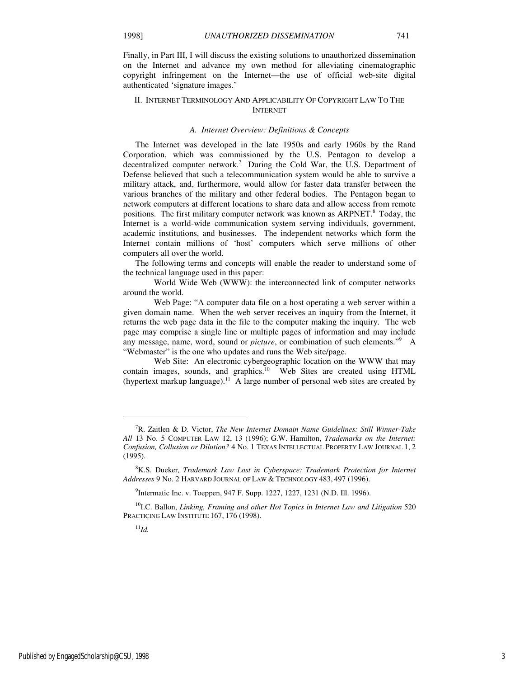Finally, in Part III, I will discuss the existing solutions to unauthorized dissemination on the Internet and advance my own method for alleviating cinematographic copyright infringement on the Internet—the use of official web-site digital authenticated 'signature images.'

## II. INTERNET TERMINOLOGY AND APPLICABILITY OF COPYRIGHT LAW TO THE INTERNET

#### *A. Internet Overview: Definitions & Concepts*

The Internet was developed in the late 1950s and early 1960s by the Rand Corporation, which was commissioned by the U.S. Pentagon to develop a decentralized computer network.<sup>7</sup> During the Cold War, the U.S. Department of Defense believed that such a telecommunication system would be able to survive a military attack, and, furthermore, would allow for faster data transfer between the various branches of the military and other federal bodies. The Pentagon began to network computers at different locations to share data and allow access from remote positions. The first military computer network was known as ARPNET.<sup>8</sup> Today, the Internet is a world-wide communication system serving individuals, government, academic institutions, and businesses. The independent networks which form the Internet contain millions of 'host' computers which serve millions of other computers all over the world.

The following terms and concepts will enable the reader to understand some of the technical language used in this paper:

World Wide Web (WWW): the interconnected link of computer networks around the world.

 Web Page: "A computer data file on a host operating a web server within a given domain name. When the web server receives an inquiry from the Internet, it returns the web page data in the file to the computer making the inquiry. The web page may comprise a single line or multiple pages of information and may include any message, name, word, sound or *picture*, or combination of such elements."<sup>9</sup> A "Webmaster" is the one who updates and runs the Web site/page.

 Web Site: An electronic cybergeographic location on the WWW that may contain images, sounds, and graphics.<sup>10</sup> Web Sites are created using HTML (hypertext markup language).<sup>11</sup> A large number of personal web sites are created by

<sup>11</sup>*Id.*

1

<sup>7</sup>R. Zaitlen & D. Victor, *The New Internet Domain Name Guidelines: Still Winner-Take All* 13 No. 5 COMPUTER LAW 12, 13 (1996); G.W. Hamilton, *Trademarks on the Internet: Confusion, Collusion or Dilution?* 4 No. 1 TEXAS INTELLECTUAL PROPERTY LAW JOURNAL 1, 2 (1995).

<sup>8</sup>K.S. Dueker*, Trademark Law Lost in Cyberspace: Trademark Protection for Internet Addresses* 9 No. 2 HARVARD JOURNAL OF LAW & TECHNOLOGY 483, 497 (1996).

<sup>&</sup>lt;sup>9</sup>Intermatic Inc. v. Toeppen, 947 F. Supp. 1227, 1227, 1231 (N.D. Ill. 1996).

<sup>&</sup>lt;sup>10</sup>I.C. Ballon, *Linking, Framing and other Hot Topics in Internet Law and Litigation* 520 PRACTICING LAW INSTITUTE 167, 176 (1998).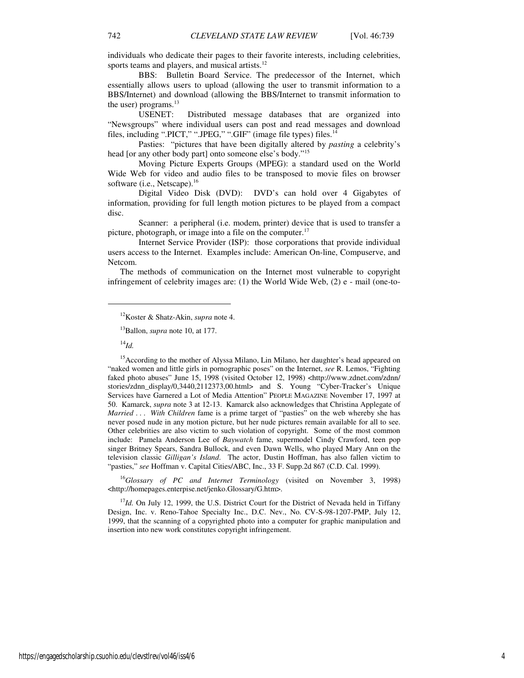individuals who dedicate their pages to their favorite interests, including celebrities, sports teams and players, and musical artists.<sup>12</sup>

 BBS: Bulletin Board Service. The predecessor of the Internet, which essentially allows users to upload (allowing the user to transmit information to a BBS/Internet) and download (allowing the BBS/Internet to transmit information to the user) programs. $^{13}$ 

 USENET: Distributed message databases that are organized into "Newsgroups" where individual users can post and read messages and download files, including ".PICT," ".JPEG," ".GIF" (image file types) files.<sup>14</sup>

 Pasties:"pictures that have been digitally altered by *pasting* a celebrity's head [or any other body part] onto someone else's body."<sup>15</sup>

Moving Picture Experts Groups (MPEG): a standard used on the World Wide Web for video and audio files to be transposed to movie files on browser software (i.e., Netscape).<sup>16</sup>

 Digital Video Disk (DVD):DVD's can hold over 4 Gigabytes of information, providing for full length motion pictures to be played from a compact disc.

Scanner: a peripheral (i.e. modem, printer) device that is used to transfer a picture, photograph, or image into a file on the computer. $17$ 

 Internet Service Provider (ISP): those corporations that provide individual users access to the Internet. Examples include: American On-line, Compuserve, and Netcom.

The methods of communication on the Internet most vulnerable to copyright infringement of celebrity images are: (1) the World Wide Web, (2) e - mail (one-to-

 $\overline{a}$ 

<sup>16</sup>*Glossary of PC and Internet Terminology* (visited on November 3, 1998) <http://homepages.enterpise.net/jenko.Glossary/G.htm>.

<sup>17</sup>*Id*. On July 12, 1999, the U.S. District Court for the District of Nevada held in Tiffany Design, Inc. v. Reno-Tahoe Specialty Inc., D.C. Nev., No. CV-S-98-1207-PMP, July 12, 1999, that the scanning of a copyrighted photo into a computer for graphic manipulation and insertion into new work constitutes copyright infringement.

<sup>12</sup>Koster & Shatz-Akin, *supra* note 4.

<sup>&</sup>lt;sup>13</sup>Ballon, *supra* note 10, at 177.

<sup>14</sup>*Id.*

<sup>&</sup>lt;sup>15</sup> According to the mother of Alyssa Milano, Lin Milano, her daughter's head appeared on "naked women and little girls in pornographic poses" on the Internet, *see* R. Lemos, "Fighting faked photo abuses" June 15, 1998 (visited October 12, 1998) <http://www.zdnet.com/zdnn/ stories/zdnn\_display/0,3440,2112373,00.html> and S. Young "Cyber-Tracker's Unique Services have Garnered a Lot of Media Attention" PEOPLE MAGAZINE November 17, 1997 at 50. Kamarck, *supra* note 3 at 12-13. Kamarck also acknowledges that Christina Applegate of *Married . . . With Children* fame is a prime target of "pasties" on the web whereby she has never posed nude in any motion picture, but her nude pictures remain available for all to see. Other celebrities are also victim to such violation of copyright. Some of the most common include: Pamela Anderson Lee of *Baywatch* fame, supermodel Cindy Crawford, teen pop singer Britney Spears, Sandra Bullock, and even Dawn Wells, who played Mary Ann on the television classic *Gilligan's Island*. The actor, Dustin Hoffman, has also fallen victim to "pasties," *see* Hoffman v. Capital Cities/ABC, Inc., 33 F. Supp.2d 867 (C.D. Cal. 1999).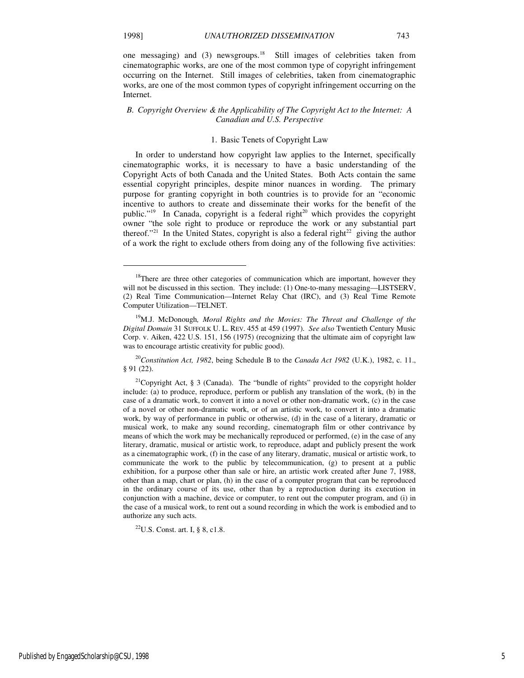1

one messaging) and (3) newsgroups.<sup>18</sup> Still images of celebrities taken from cinematographic works, are one of the most common type of copyright infringement occurring on the Internet. Still images of celebrities, taken from cinematographic works, are one of the most common types of copyright infringement occurring on the Internet.

## *B. Copyright Overview & the Applicability of The Copyright Act to the Internet: A Canadian and U.S. Perspective*

#### 1. Basic Tenets of Copyright Law

In order to understand how copyright law applies to the Internet, specifically cinematographic works, it is necessary to have a basic understanding of the Copyright Acts of both Canada and the United States. Both Acts contain the same essential copyright principles, despite minor nuances in wording. The primary purpose for granting copyright in both countries is to provide for an "economic incentive to authors to create and disseminate their works for the benefit of the public."<sup>19</sup> In Canada, copyright is a federal right<sup>20</sup> which provides the copyright owner "the sole right to produce or reproduce the work or any substantial part thereof."<sup>21</sup> In the United States, copyright is also a federal right<sup>22</sup> giving the author of a work the right to exclude others from doing any of the following five activities:

 $22$ U.S. Const. art. I, § 8, c1.8.

<sup>&</sup>lt;sup>18</sup>There are three other categories of communication which are important, however they will not be discussed in this section. They include: (1) One-to-many messaging-LISTSERV, (2) Real Time Communication—Internet Relay Chat (IRC), and (3) Real Time Remote Computer Utilization—TELNET.

<sup>&</sup>lt;sup>19</sup>M.J. McDonough, *Moral Rights and the Movies: The Threat and Challenge of the Digital Domain* 31 SUFFOLK U. L. REV. 455 at 459 (1997). *See also* Twentieth Century Music Corp. v. Aiken, 422 U.S. 151, 156 (1975) (recognizing that the ultimate aim of copyright law was to encourage artistic creativity for public good).

<sup>20</sup>*Constitution Act, 1982*, being Schedule B to the *Canada Act 1982* (U.K.), 1982, c. 11., § 91 (22).

<sup>&</sup>lt;sup>21</sup>Copyright Act, § 3 (Canada). The "bundle of rights" provided to the copyright holder include: (a) to produce, reproduce, perform or publish any translation of the work, (b) in the case of a dramatic work, to convert it into a novel or other non-dramatic work, (c) in the case of a novel or other non-dramatic work, or of an artistic work, to convert it into a dramatic work, by way of performance in public or otherwise, (d) in the case of a literary, dramatic or musical work, to make any sound recording, cinematograph film or other contrivance by means of which the work may be mechanically reproduced or performed, (e) in the case of any literary, dramatic, musical or artistic work, to reproduce, adapt and publicly present the work as a cinematographic work, (f) in the case of any literary, dramatic, musical or artistic work, to communicate the work to the public by telecommunication, (g) to present at a public exhibition, for a purpose other than sale or hire, an artistic work created after June 7, 1988, other than a map, chart or plan, (h) in the case of a computer program that can be reproduced in the ordinary course of its use, other than by a reproduction during its execution in conjunction with a machine, device or computer, to rent out the computer program, and (i) in the case of a musical work, to rent out a sound recording in which the work is embodied and to authorize any such acts.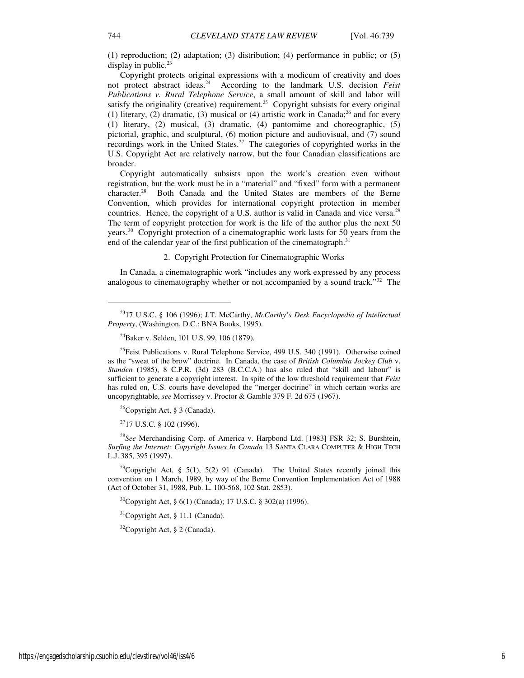(1) reproduction; (2) adaptation; (3) distribution; (4) performance in public; or (5) display in public. $23$ 

Copyright protects original expressions with a modicum of creativity and does not protect abstract ideas.<sup>24</sup> According to the landmark U.S. decision *Feist Publications v. Rural Telephone Service*, a small amount of skill and labor will satisfy the originality (creative) requirement.<sup>25</sup> Copyright subsists for every original (1) literary, (2) dramatic, (3) musical or (4) artistic work in Canada;<sup>26</sup> and for every (1) literary, (2) musical, (3) dramatic, (4) pantomime and choreographic, (5) pictorial, graphic, and sculptural, (6) motion picture and audiovisual, and (7) sound recordings work in the United States.<sup>27</sup> The categories of copyrighted works in the U.S. Copyright Act are relatively narrow, but the four Canadian classifications are broader.

Copyright automatically subsists upon the work's creation even without registration, but the work must be in a "material" and "fixed" form with a permanent character.<sup>28</sup> Both Canada and the United States are members of the Berne Both Canada and the United States are members of the Berne Convention, which provides for international copyright protection in member countries. Hence, the copyright of a U.S. author is valid in Canada and vice versa.<sup>29</sup> The term of copyright protection for work is the life of the author plus the next 50 years.<sup>30</sup> Copyright protection of a cinematographic work lasts for 50 years from the end of the calendar year of the first publication of the cinematograph.<sup>31</sup>

## 2. Copyright Protection for Cinematographic Works

In Canada, a cinematographic work "includes any work expressed by any process analogous to cinematography whether or not accompanied by a sound track." $32$  The

 $26$ Copyright Act, § 3 (Canada).

 $2717$  U.S.C. § 102 (1996).

<sup>28</sup>*See* Merchandising Corp. of America v. Harpbond Ltd. [1983] FSR 32; S. Burshtein, *Surfing the Internet: Copyright Issues In Canada* 13 SANTA CLARA COMPUTER & HIGH TECH L.J. 385, 395 (1997).

<sup>29</sup>Copyright Act, § 5(1), 5(2) 91 (Canada). The United States recently joined this convention on 1 March, 1989, by way of the Berne Convention Implementation Act of 1988 (Act of October 31, 1988, Pub. L. 100-568, 102 Stat. 2853).

<sup>30</sup>Copyright Act, § 6(1) (Canada); 17 U.S.C. § 302(a) (1996).

 $31$ Copyright Act, § 11.1 (Canada).

 $32$ Copyright Act, § 2 (Canada).

 $\overline{a}$ 

<sup>23</sup>17 U.S.C. § 106 (1996); J.T. McCarthy, *McCarthy's Desk Encyclopedia of Intellectual Property*, (Washington, D.C.: BNA Books, 1995).

<sup>&</sup>lt;sup>24</sup>Baker v. Selden, 101 U.S. 99, 106 (1879).

 $^{25}$ Feist Publications v. Rural Telephone Service, 499 U.S. 340 (1991). Otherwise coined as the "sweat of the brow" doctrine. In Canada, the case of *British Columbia Jockey Club* v. *Standen* (1985), 8 C.P.R. (3d) 283 (B.C.C.A.) has also ruled that "skill and labour" is sufficient to generate a copyright interest. In spite of the low threshold requirement that *Feist*  has ruled on, U.S. courts have developed the "merger doctrine" in which certain works are uncopyrightable, *see* Morrissey v. Proctor & Gamble 379 F. 2d 675 (1967).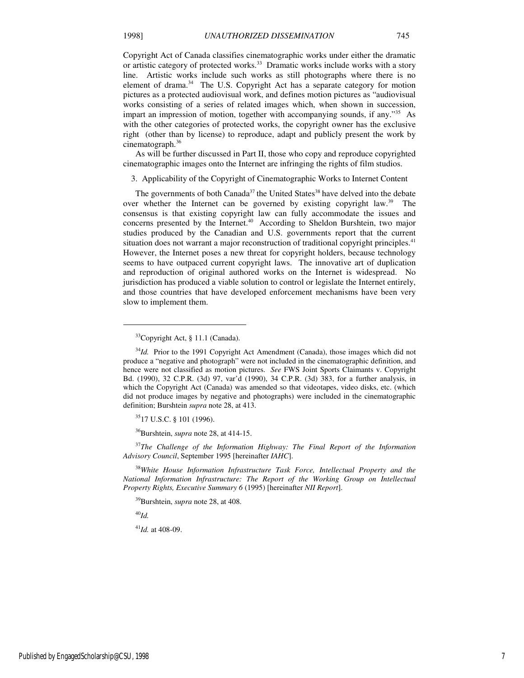Copyright Act of Canada classifies cinematographic works under either the dramatic or artistic category of protected works.<sup>33</sup> Dramatic works include works with a story line. Artistic works include such works as still photographs where there is no element of drama.<sup>34</sup> The U.S. Copyright Act has a separate category for motion pictures as a protected audiovisual work, and defines motion pictures as "audiovisual works consisting of a series of related images which, when shown in succession, impart an impression of motion, together with accompanying sounds, if any."<sup>35</sup> As with the other categories of protected works, the copyright owner has the exclusive right (other than by license) to reproduce, adapt and publicly present the work by cinematograph. $36$ 

As will be further discussed in Part II, those who copy and reproduce copyrighted cinematographic images onto the Internet are infringing the rights of film studios.

3. Applicability of the Copyright of Cinematographic Works to Internet Content

The governments of both Canada<sup>37</sup> the United States<sup>38</sup> have delved into the debate over whether the Internet can be governed by existing copyright law.<sup>39</sup> The consensus is that existing copyright law can fully accommodate the issues and concerns presented by the Internet.<sup>40</sup> According to Sheldon Burshtein, two major studies produced by the Canadian and U.S. governments report that the current situation does not warrant a major reconstruction of traditional copyright principles.<sup>41</sup> However, the Internet poses a new threat for copyright holders, because technology seems to have outpaced current copyright laws. The innovative art of duplication and reproduction of original authored works on the Internet is widespread. No jurisdiction has produced a viable solution to control or legislate the Internet entirely, and those countries that have developed enforcement mechanisms have been very slow to implement them.

<sup>36</sup>Burshtein, *supra* note 28, at 414-15.

<sup>37</sup>*The Challenge of the Information Highway: The Final Report of the Information Advisory Council*, September 1995 [hereinafter *IAHC*].

<sup>38</sup>*White House Information Infrastructure Task Force, Intellectual Property and the National Information Infrastructure: The Report of the Working Group on Intellectual Property Rights, Executive Summary 6* (1995) [hereinafter *NII Report*].

<sup>39</sup>Burshtein, *supra* note 28, at 408.

<sup>40</sup>*Id.*

 $\overline{a}$ 

<sup>41</sup>*Id.* at 408-09.

<sup>&</sup>lt;sup>33</sup>Copyright Act, § 11.1 (Canada).

<sup>&</sup>lt;sup>34</sup>Id. Prior to the 1991 Copyright Act Amendment (Canada), those images which did not produce a "negative and photograph" were not included in the cinematographic definition, and hence were not classified as motion pictures. *See* FWS Joint Sports Claimants v. Copyright Bd. (1990), 32 C.P.R. (3d) 97, var'd (1990), 34 C.P.R. (3d) 383, for a further analysis, in which the Copyright Act (Canada) was amended so that videotapes, video disks, etc. (which did not produce images by negative and photographs) were included in the cinematographic definition; Burshtein *supra* note 28, at 413.

<sup>35</sup>17 U.S.C. § 101 (1996).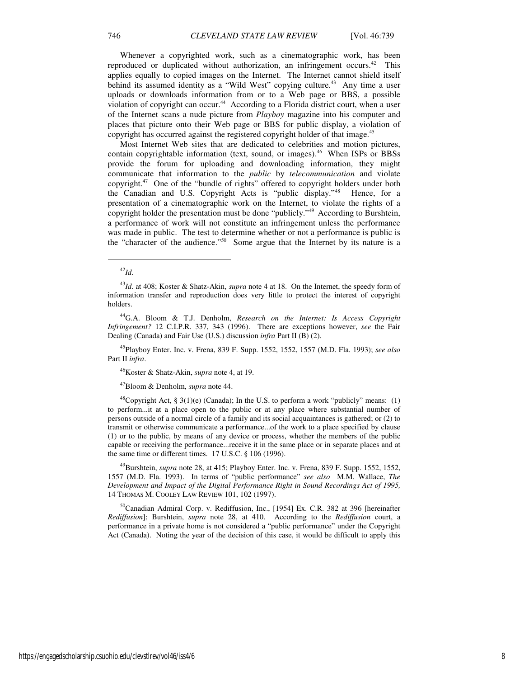Whenever a copyrighted work, such as a cinematographic work, has been reproduced or duplicated without authorization, an infringement occurs.<sup>42</sup> This applies equally to copied images on the Internet. The Internet cannot shield itself behind its assumed identity as a "Wild West" copying culture.<sup>43</sup> Any time a user uploads or downloads information from or to a Web page or BBS, a possible violation of copyright can occur.<sup>44</sup> According to a Florida district court, when a user of the Internet scans a nude picture from *Playboy* magazine into his computer and places that picture onto their Web page or BBS for public display, a violation of copyright has occurred against the registered copyright holder of that image.<sup>45</sup>

Most Internet Web sites that are dedicated to celebrities and motion pictures, contain copyrightable information (text, sound, or images).<sup>46</sup> When ISPs or BBSs provide the forum for uploading and downloading information, they might communicate that information to the *public* by *telecommunication* and violate copyright.<sup>47</sup> One of the "bundle of rights" offered to copyright holders under both the Canadian and U.S. Copyright Acts is "public display."<sup>48</sup> Hence, for a presentation of a cinematographic work on the Internet, to violate the rights of a copyright holder the presentation must be done "publicly."<sup>49</sup> According to Burshtein, a performance of work will not constitute an infringement unless the performance was made in public. The test to determine whether or not a performance is public is the "character of the audience."<sup>50</sup> Some argue that the Internet by its nature is a

1

<sup>45</sup>Playboy Enter. Inc. v. Frena, 839 F. Supp. 1552, 1552, 1557 (M.D. Fla. 1993); *see also* Part II *infra*.

<sup>46</sup>Koster & Shatz-Akin, *supra* note 4, at 19.

<sup>47</sup>Bloom & Denholm, *supra* note 44.

<sup>48</sup>Copyright Act, § 3(1)(e) (Canada); In the U.S. to perform a work "publicly" means: (1) to perform...it at a place open to the public or at any place where substantial number of persons outside of a normal circle of a family and its social acquaintances is gathered; or (2) to transmit or otherwise communicate a performance...of the work to a place specified by clause (1) or to the public, by means of any device or process, whether the members of the public capable or receiving the performance...receive it in the same place or in separate places and at the same time or different times. 17 U.S.C. § 106 (1996).

<sup>49</sup>Burshtein, *supra* note 28, at 415; Playboy Enter. Inc. v. Frena, 839 F. Supp. 1552, 1552, 1557 (M.D. Fla. 1993). In terms of "public performance" *see also* M.M. Wallace, *The Development and Impact of the Digital Performance Right in Sound Recordings Act of 1995,* 14 THOMAS M. COOLEY LAW REVIEW 101, 102 (1997).

<sup>50</sup>Canadian Admiral Corp. v. Rediffusion, Inc., [1954] Ex. C.R. 382 at 396 [hereinafter *Rediffusion*]; Burshtein, *supra* note 28, at 410. According to the *Rediffusion* court, a performance in a private home is not considered a "public performance" under the Copyright Act (Canada). Noting the year of the decision of this case, it would be difficult to apply this

<sup>42</sup>*Id*.

<sup>43</sup>*Id*. at 408; Koster & Shatz-Akin, *supra* note 4 at 18. On the Internet, the speedy form of information transfer and reproduction does very little to protect the interest of copyright holders.

<sup>44</sup>G.A. Bloom & T.J. Denholm, *Research on the Internet: Is Access Copyright Infringement?* 12 C.I.P.R. 337, 343 (1996). There are exceptions however, *see* the Fair Dealing (Canada) and Fair Use (U.S.) discussion *infra* Part II (B) (2).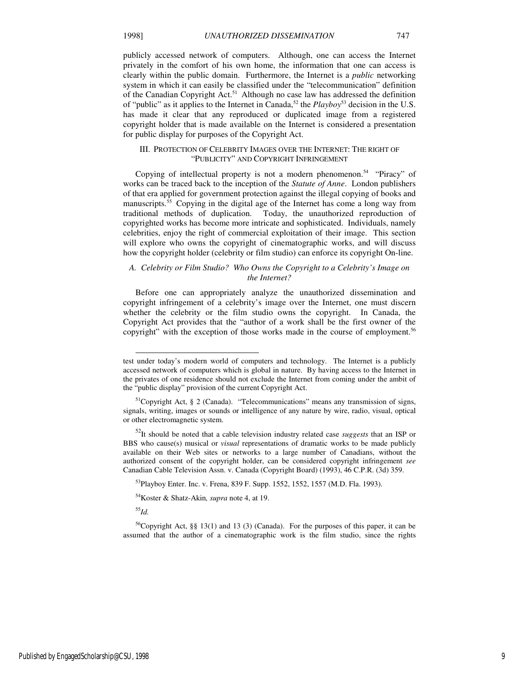publicly accessed network of computers. Although, one can access the Internet privately in the comfort of his own home, the information that one can access is clearly within the public domain. Furthermore, the Internet is a *public* networking system in which it can easily be classified under the "telecommunication" definition of the Canadian Copyright Act.<sup>51</sup> Although no case law has addressed the definition of "public" as it applies to the Internet in Canada,<sup>52</sup> the *Playboy*<sup>53</sup> decision in the U.S. has made it clear that any reproduced or duplicated image from a registered copyright holder that is made available on the Internet is considered a presentation for public display for purposes of the Copyright Act.

## III. PROTECTION OF CELEBRITY IMAGES OVER THE INTERNET: THE RIGHT OF "PUBLICITY" AND COPYRIGHT INFRINGEMENT

Copying of intellectual property is not a modern phenomenon.<sup>54</sup> "Piracy" of works can be traced back to the inception of the *Statute of Anne*. London publishers of that era applied for government protection against the illegal copying of books and manuscripts.<sup>55</sup> Copying in the digital age of the Internet has come a long way from traditional methods of duplication. Today, the unauthorized reproduction of copyrighted works has become more intricate and sophisticated. Individuals, namely celebrities, enjoy the right of commercial exploitation of their image. This section will explore who owns the copyright of cinematographic works, and will discuss how the copyright holder (celebrity or film studio) can enforce its copyright On-line.

## *A. Celebrity or Film Studio? Who Owns the Copyright to a Celebrity's Image on the Internet?*

Before one can appropriately analyze the unauthorized dissemination and copyright infringement of a celebrity's image over the Internet, one must discern whether the celebrity or the film studio owns the copyright. In Canada, the Copyright Act provides that the "author of a work shall be the first owner of the copyright" with the exception of those works made in the course of employment.<sup>56</sup>

<sup>55</sup>*Id.*

-

test under today's modern world of computers and technology. The Internet is a publicly accessed network of computers which is global in nature. By having access to the Internet in the privates of one residence should not exclude the Internet from coming under the ambit of the "public display" provision of the current Copyright Act.

 $<sup>51</sup>$ Copyright Act, § 2 (Canada). "Telecommunications" means any transmission of signs,</sup> signals, writing, images or sounds or intelligence of any nature by wire, radio, visual, optical or other electromagnetic system.

<sup>52</sup>It should be noted that a cable television industry related case *suggests* that an ISP or BBS who cause(s) musical or *visual* representations of dramatic works to be made publicly available on their Web sites or networks to a large number of Canadians, without the authorized consent of the copyright holder, can be considered copyright infringement *see*  Canadian Cable Television Assn. v. Canada (Copyright Board) (1993), 46 C.P.R. (3d) 359.

<sup>53</sup>Playboy Enter. Inc. v. Frena, 839 F. Supp. 1552, 1552, 1557 (M.D. Fla. 1993).

<sup>54</sup>Koster & Shatz-Akin*, supra* note 4, at 19.

<sup>&</sup>lt;sup>56</sup>Copyright Act, §§ 13(1) and 13 (3) (Canada). For the purposes of this paper, it can be assumed that the author of a cinematographic work is the film studio, since the rights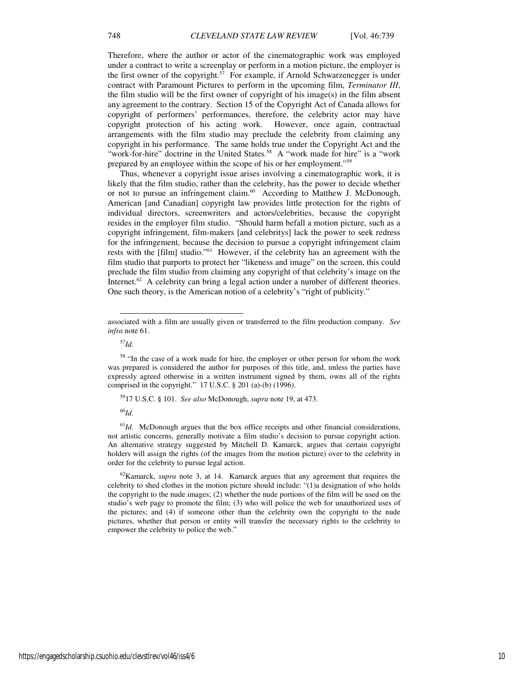Therefore, where the author or actor of the cinematographic work was employed under a contract to write a screenplay or perform in a motion picture, the employer is the first owner of the copyright.<sup>57</sup> For example, if Arnold Schwarzenegger is under contract with Paramount Pictures to perform in the upcoming film, *Terminator III*, the film studio will be the first owner of copyright of his image(s) in the film absent any agreement to the contrary. Section 15 of the Copyright Act of Canada allows for copyright of performers' performances, therefore, the celebrity actor may have copyright protection of his acting work. However, once again, contractual arrangements with the film studio may preclude the celebrity from claiming any copyright in his performance. The same holds true under the Copyright Act and the "work-for-hire" doctrine in the United States.<sup>58</sup> A "work made for hire" is a "work prepared by an employee within the scope of his or her employment."<sup>59</sup>

Thus, whenever a copyright issue arises involving a cinematographic work, it is likely that the film studio, rather than the celebrity, has the power to decide whether or not to pursue an infringement claim.<sup>60</sup> According to Matthew J. McDonough, American [and Canadian] copyright law provides little protection for the rights of individual directors, screenwriters and actors/celebrities, because the copyright resides in the employer film studio. "Should harm befall a motion picture, such as a copyright infringement, film-makers [and celebritys] lack the power to seek redress for the infringement, because the decision to pursue a copyright infringement claim rests with the [film] studio."<sup>61</sup> However, if the celebrity has an agreement with the film studio that purports to protect her "likeness and image" on the screen, this could preclude the film studio from claiming any copyright of that celebrity's image on the Internet.<sup>62</sup> A celebrity can bring a legal action under a number of different theories. One such theory, is the American notion of a celebrity's "right of publicity."

<sup>57</sup>*Id.*

l

<sup>59</sup>17 U.S.C. § 101. *See also* McDonough, *supra* note 19, at 473.

<sup>60</sup>*Id.*

 $<sup>61</sup>Id$ . McDonough argues that the box office receipts and other financial considerations,</sup> not artistic concerns, generally motivate a film studio's decision to pursue copyright action. An alternative strategy suggested by Mitchell D. Kamarck, argues that certain copyright holders will assign the rights (of the images from the motion picture) over to the celebrity in order for the celebrity to pursue legal action.

<sup>62</sup>Kamarck, *supra* note 3, at 14. Kamarck argues that any agreement that requires the celebrity to shed clothes in the motion picture should include: "(1)a designation of who holds the copyright to the nude images; (2) whether the nude portions of the film will be used on the studio's web page to promote the film; (3) who will police the web for unauthorized uses of the pictures; and (4) if someone other than the celebrity own the copyright to the nude pictures, whether that person or entity will transfer the necessary rights to the celebrity to empower the celebrity to police the web."

associated with a film are usually given or transferred to the film production company. *See infra* note 61.

<sup>&</sup>lt;sup>58</sup> "In the case of a work made for hire, the employer or other person for whom the work was prepared is considered the author for purposes of this title, and, unless the parties have expressly agreed otherwise in a written instrument signed by them, owns all of the rights comprised in the copyright." 17 U.S.C. § 201 (a)-(b) (1996).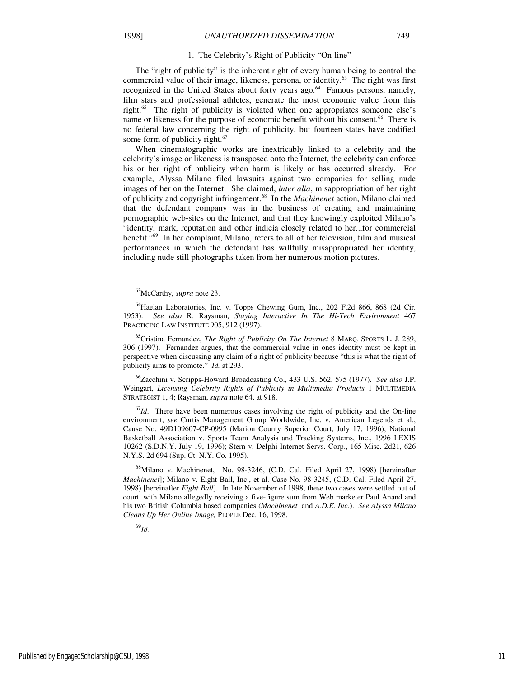## 1. The Celebrity's Right of Publicity "On-line"

The "right of publicity" is the inherent right of every human being to control the commercial value of their image, likeness, persona, or identity.<sup>63</sup> The right was first recognized in the United States about forty years ago. $64$  Famous persons, namely, film stars and professional athletes, generate the most economic value from this right.<sup>65</sup> The right of publicity is violated when one appropriates someone else's name or likeness for the purpose of economic benefit without his consent.<sup>66</sup> There is no federal law concerning the right of publicity, but fourteen states have codified some form of publicity right.<sup>67</sup>

When cinematographic works are inextricably linked to a celebrity and the celebrity's image or likeness is transposed onto the Internet, the celebrity can enforce his or her right of publicity when harm is likely or has occurred already. For example, Alyssa Milano filed lawsuits against two companies for selling nude images of her on the Internet. She claimed, *inter alia*, misappropriation of her right of publicity and copyright infringement.<sup>68</sup> In the *Machinenet* action, Milano claimed that the defendant company was in the business of creating and maintaining pornographic web-sites on the Internet, and that they knowingly exploited Milano's "identity, mark, reputation and other indicia closely related to her...for commercial benefit."<sup>69</sup> In her complaint, Milano, refers to all of her television, film and musical performances in which the defendant has willfully misappropriated her identity, including nude still photographs taken from her numerous motion pictures.

j

<sup>65</sup>Cristina Fernandez, *The Right of Publicity On The Internet* 8 MARQ. SPORTS L. J. 289, 306 (1997). Fernandez argues, that the commercial value in ones identity must be kept in perspective when discussing any claim of a right of publicity because "this is what the right of publicity aims to promote." *Id.* at 293.

<sup>66</sup>Zacchini v. Scripps-Howard Broadcasting Co., 433 U.S. 562, 575 (1977). *See also* J.P. Weingart, *Licensing Celebrity Rights of Publicity in Multimedia Products* 1 MULTIMEDIA STRATEGIST 1, 4; Raysman, *supra* note 64, at 918.

<sup>67</sup>*Id*. There have been numerous cases involving the right of publicity and the On-line environment, *see* Curtis Management Group Worldwide, Inc. v. American Legends et al., Cause No: 49D109607-CP-0995 (Marion County Superior Court, July 17, 1996); National Basketball Association v. Sports Team Analysis and Tracking Systems, Inc., 1996 LEXIS 10262 (S.D.N.Y. July 19, 1996); Stern v. Delphi Internet Servs. Corp., 165 Misc. 2d21, 626 N.Y.S. 2d 694 (Sup. Ct. N.Y. Co. 1995).

<sup>68</sup>Milano v. Machinenet, No. 98-3246, (C.D. Cal. Filed April 27, 1998) [hereinafter *Machinenet*]; Milano v. Eight Ball, Inc., et al. Case No. 98-3245, (C.D. Cal. Filed April 27, 1998) [hereinafter *Eight Ball*]. In late November of 1998, these two cases were settled out of court, with Milano allegedly receiving a five-figure sum from Web marketer Paul Anand and his two British Columbia based companies (*Machinenet* and *A.D.E. Inc.*). *See Alyssa Milano Cleans Up Her Online Image,* PEOPLE Dec. 16, 1998.

<sup>69</sup>*Id.*

<sup>63</sup>McCarthy, *supra* note 23.

<sup>64</sup>Haelan Laboratories, Inc. v. Topps Chewing Gum, Inc., 202 F.2d 866, 868 (2d Cir. 1953). *See also* R. Raysman*, Staying Interactive In The Hi-Tech Environment* 467 PRACTICING LAW INSTITUTE 905, 912 (1997).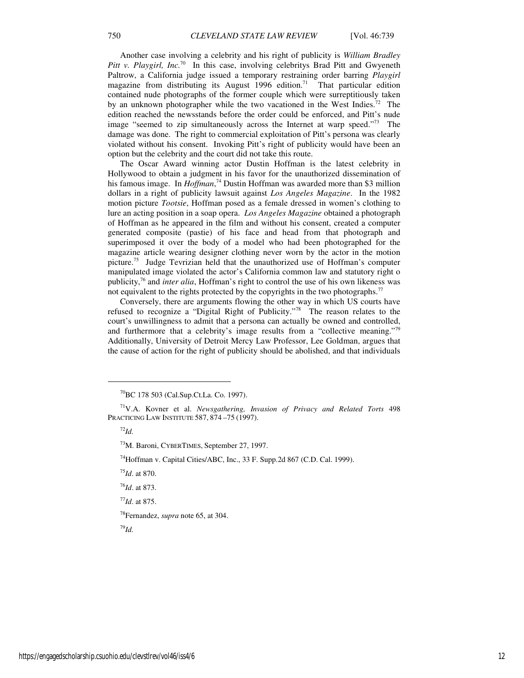Another case involving a celebrity and his right of publicity is *William Bradley Pitt v. Playgirl, Inc.*<sup>70</sup> In this case, involving celebritys Brad Pitt and Gwyeneth Paltrow, a California judge issued a temporary restraining order barring *Playgirl* magazine from distributing its August  $1996$  edition.<sup>71</sup> That particular edition contained nude photographs of the former couple which were surreptitiously taken by an unknown photographer while the two vacationed in the West Indies.<sup>72</sup> The edition reached the newsstands before the order could be enforced, and Pitt's nude image "seemed to zip simultaneously across the Internet at warp speed."<sup>73</sup> The damage was done. The right to commercial exploitation of Pitt's persona was clearly violated without his consent. Invoking Pitt's right of publicity would have been an option but the celebrity and the court did not take this route.

The Oscar Award winning actor Dustin Hoffman is the latest celebrity in Hollywood to obtain a judgment in his favor for the unauthorized dissemination of his famous image. In *Hoffman*, <sup>74</sup> Dustin Hoffman was awarded more than \$3 million dollars in a right of publicity lawsuit against *Los Angeles Magazine*. In the 1982 motion picture *Tootsie*, Hoffman posed as a female dressed in women's clothing to lure an acting position in a soap opera. *Los Angeles Magazine* obtained a photograph of Hoffman as he appeared in the film and without his consent, created a computer generated composite (pastie) of his face and head from that photograph and superimposed it over the body of a model who had been photographed for the magazine article wearing designer clothing never worn by the actor in the motion picture.<sup>75</sup> Judge Tevrizian held that the unauthorized use of Hoffman's computer manipulated image violated the actor's California common law and statutory right o publicity,<sup>76</sup> and *inter alia*, Hoffman's right to control the use of his own likeness was not equivalent to the rights protected by the copyrights in the two photographs.<sup>77</sup>

Conversely, there are arguments flowing the other way in which US courts have refused to recognize a "Digital Right of Publicity."<sup>78</sup> The reason relates to the court's unwillingness to admit that a persona can actually be owned and controlled, and furthermore that a celebrity's image results from a "collective meaning."<sup>79</sup> Additionally, University of Detroit Mercy Law Professor, Lee Goldman, argues that the cause of action for the right of publicity should be abolished, and that individuals

<sup>72</sup>*Id.*

j

<sup>73</sup>M. Baroni, CYBERTIMES, September 27, 1997.

<sup>74</sup>Hoffman v. Capital Cities/ABC, Inc., 33 F. Supp.2d 867 (C.D. Cal. 1999).

<sup>75</sup>*Id*. at 870.

<sup>76</sup>*Id*. at 873.

<sup>77</sup>*Id*. at 875.

<sup>78</sup>Fernandez, *supra* note 65, at 304.

<sup>79</sup>*Id.*

<sup>70</sup>BC 178 503 (Cal.Sup.Ct.La. Co. 1997).

<sup>71</sup>V.A. Kovner et al. *Newsgathering, Invasion of Privacy and Related Torts* 498 PRACTICING LAW INSTITUTE 587, 874 –75 (1997).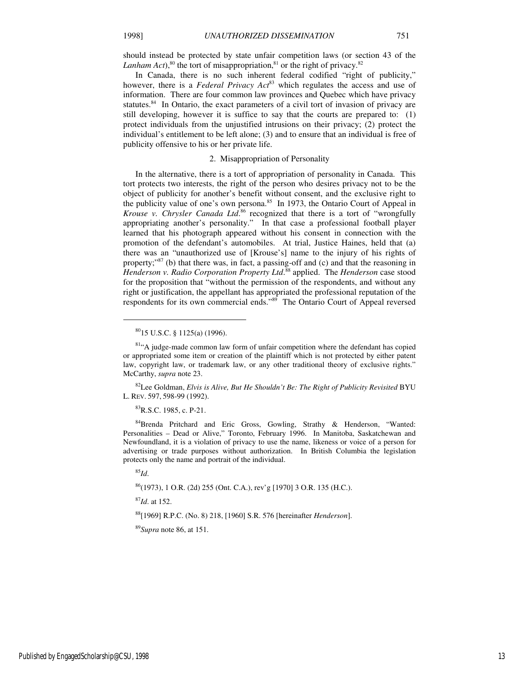should instead be protected by state unfair competition laws (or section 43 of the *Lanham Act*),<sup>80</sup> the tort of misappropriation,<sup>81</sup> or the right of privacy.<sup>82</sup>

In Canada, there is no such inherent federal codified "right of publicity," however, there is a *Federal Privacy Act*<sup>83</sup> which regulates the access and use of information. There are four common law provinces and Quebec which have privacy statutes.<sup>84</sup> In Ontario, the exact parameters of a civil tort of invasion of privacy are still developing, however it is suffice to say that the courts are prepared to: (1) protect individuals from the unjustified intrusions on their privacy; (2) protect the individual's entitlement to be left alone; (3) and to ensure that an individual is free of publicity offensive to his or her private life.

## 2. Misappropriation of Personality

In the alternative, there is a tort of appropriation of personality in Canada. This tort protects two interests, the right of the person who desires privacy not to be the object of publicity for another's benefit without consent, and the exclusive right to the publicity value of one's own persona.<sup>85</sup> In 1973, the Ontario Court of Appeal in *Krouse v. Chrysler Canada Ltd*. <sup>86</sup> recognized that there is a tort of "wrongfully appropriating another's personality." In that case a professional football player learned that his photograph appeared without his consent in connection with the promotion of the defendant's automobiles. At trial, Justice Haines, held that (a) there was an "unauthorized use of [Krouse's] name to the injury of his rights of property;"<sup>87</sup> (b) that there was, in fact, a passing-off and (c) and that the reasoning in *Henderson v. Radio Corporation Property Ltd*. <sup>88</sup> applied. The *Henderson* case stood for the proposition that "without the permission of the respondents, and without any right or justification, the appellant has appropriated the professional reputation of the respondents for its own commercial ends."<sup>89</sup> The Ontario Court of Appeal reversed

<sup>82</sup>Lee Goldman, *Elvis is Alive, But He Shouldn't Be: The Right of Publicity Revisited* BYU L. REV. 597, 598-99 (1992).

<sup>83</sup>R.S.C. 1985, c. P-21.

84Brenda Pritchard and Eric Gross, Gowling, Strathy & Henderson, "Wanted: Personalities – Dead or Alive," Toronto, February 1996. In Manitoba, Saskatchewan and Newfoundland, it is a violation of privacy to use the name, likeness or voice of a person for advertising or trade purposes without authorization. In British Columbia the legislation protects only the name and portrait of the individual.

<sup>85</sup>*Id*.

 $\overline{a}$ 

<sup>86</sup>(1973), 1 O.R. (2d) 255 (Ont. C.A.), rev'g [1970] 3 O.R. 135 (H.C.).

<sup>87</sup>*Id*. at 152.

<sup>88</sup>[1969] R.P.C. (No. 8) 218, [1960] S.R. 576 [hereinafter *Henderson*].

<sup>89</sup>*Supra* note 86, at 151.

<sup>80</sup>15 U.S.C. § 1125(a) (1996).

<sup>&</sup>lt;sup>81</sup>"A judge-made common law form of unfair competition where the defendant has copied or appropriated some item or creation of the plaintiff which is not protected by either patent law, copyright law, or trademark law, or any other traditional theory of exclusive rights." McCarthy, *supra* note 23.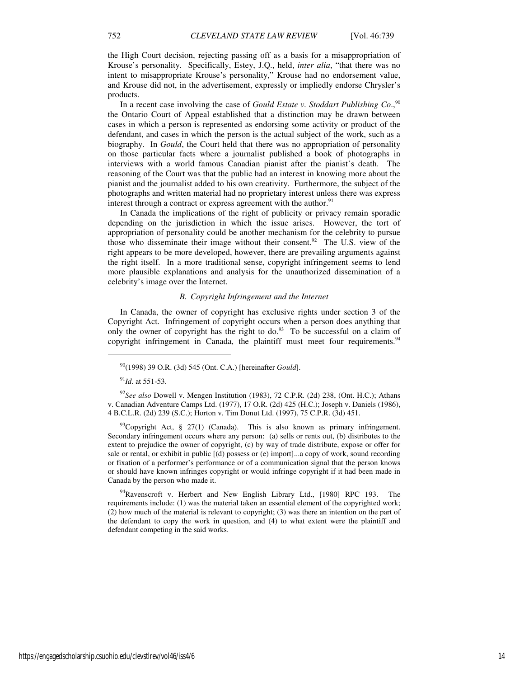the High Court decision, rejecting passing off as a basis for a misappropriation of Krouse's personality. Specifically, Estey, J.Q., held, *inter alia*, "that there was no intent to misappropriate Krouse's personality," Krouse had no endorsement value, and Krouse did not, in the advertisement, expressly or impliedly endorse Chrysler's products.

In a recent case involving the case of *Gould Estate v. Stoddart Publishing Co*., 90 the Ontario Court of Appeal established that a distinction may be drawn between cases in which a person is represented as endorsing some activity or product of the defendant, and cases in which the person is the actual subject of the work, such as a biography. In *Gould*, the Court held that there was no appropriation of personality on those particular facts where a journalist published a book of photographs in interviews with a world famous Canadian pianist after the pianist's death. The reasoning of the Court was that the public had an interest in knowing more about the pianist and the journalist added to his own creativity. Furthermore, the subject of the photographs and written material had no proprietary interest unless there was express interest through a contract or express agreement with the author.<sup>91</sup>

In Canada the implications of the right of publicity or privacy remain sporadic depending on the jurisdiction in which the issue arises. However, the tort of appropriation of personality could be another mechanism for the celebrity to pursue those who disseminate their image without their consent.<sup>92</sup> The U.S. view of the right appears to be more developed, however, there are prevailing arguments against the right itself. In a more traditional sense, copyright infringement seems to lend more plausible explanations and analysis for the unauthorized dissemination of a celebrity's image over the Internet.

## *B. Copyright Infringement and the Internet*

In Canada, the owner of copyright has exclusive rights under section 3 of the Copyright Act. Infringement of copyright occurs when a person does anything that only the owner of copyright has the right to do.<sup>93</sup> To be successful on a claim of copyright infringement in Canada, the plaintiff must meet four requirements.<sup>94</sup>

<sup>91</sup>*Id*. at 551-53.

 $\overline{a}$ 

<sup>92</sup>*See also* Dowell v. Mengen Institution (1983), 72 C.P.R. (2d) 238, (Ont. H.C.); Athans v. Canadian Adventure Camps Ltd. (1977), 17 O.R. (2d) 425 (H.C.); Joseph v. Daniels (1986), 4 B.C.L.R. (2d) 239 (S.C.); Horton v. Tim Donut Ltd. (1997), 75 C.P.R. (3d) 451.

 $93^{\circ}$ Copyright Act, § 27(1) (Canada). This is also known as primary infringement. Secondary infringement occurs where any person: (a) sells or rents out, (b) distributes to the extent to prejudice the owner of copyright, (c) by way of trade distribute, expose or offer for sale or rental, or exhibit in public [(d) possess or (e) import]...a copy of work, sound recording or fixation of a performer's performance or of a communication signal that the person knows or should have known infringes copyright or would infringe copyright if it had been made in Canada by the person who made it.

<sup>94</sup>Ravenscroft v. Herbert and New English Library Ltd., [1980] RPC 193. The requirements include: (1) was the material taken an essential element of the copyrighted work; (2) how much of the material is relevant to copyright; (3) was there an intention on the part of the defendant to copy the work in question, and (4) to what extent were the plaintiff and defendant competing in the said works.

<sup>90</sup>(1998) 39 O.R. (3d) 545 (Ont. C.A.) [hereinafter *Gould*].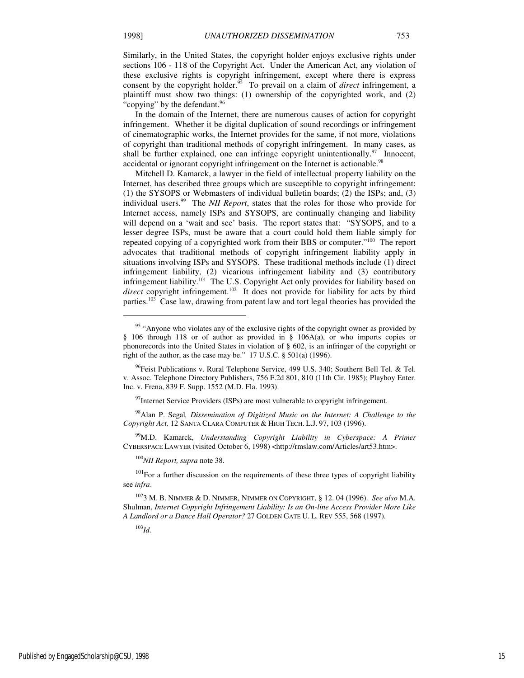Similarly, in the United States, the copyright holder enjoys exclusive rights under sections 106 - 118 of the Copyright Act. Under the American Act, any violation of these exclusive rights is copyright infringement, except where there is express consent by the copyright holder.<sup>95</sup> To prevail on a claim of *direct* infringement, a plaintiff must show two things: (1) ownership of the copyrighted work, and (2) "copying" by the defendant. $96$ 

In the domain of the Internet, there are numerous causes of action for copyright infringement. Whether it be digital duplication of sound recordings or infringement of cinematographic works, the Internet provides for the same, if not more, violations of copyright than traditional methods of copyright infringement. In many cases, as shall be further explained, one can infringe copyright unintentionally.<sup>97</sup> Innocent, accidental or ignorant copyright infringement on the Internet is actionable.<sup>98</sup>

Mitchell D. Kamarck, a lawyer in the field of intellectual property liability on the Internet, has described three groups which are susceptible to copyright infringement: (1) the SYSOPS or Webmasters of individual bulletin boards; (2) the ISPs; and, (3) individual users.<sup>99</sup> The *NII Report*, states that the roles for those who provide for Internet access, namely ISPs and SYSOPS, are continually changing and liability will depend on a 'wait and see' basis. The report states that: "SYSOPS, and to a lesser degree ISPs, must be aware that a court could hold them liable simply for repeated copying of a copyrighted work from their BBS or computer."<sup>100</sup> The report advocates that traditional methods of copyright infringement liability apply in situations involving ISPs and SYSOPS. These traditional methods include (1) direct infringement liability, (2) vicarious infringement liability and (3) contributory infringement liability.<sup>101</sup> The U.S. Copyright Act only provides for liability based on direct copyright infringement.<sup>102</sup> It does not provide for liability for acts by third parties.<sup>103</sup> Case law, drawing from patent law and tort legal theories has provided the

 $97$ Internet Service Providers (ISPs) are most vulnerable to copyright infringement.

<sup>98</sup>Alan P. Segal*, Dissemination of Digitized Music on the Internet: A Challenge to the Copyright Act,* 12 SANTA CLARA COMPUTER & HIGH TECH. L.J. 97, 103 (1996).

<sup>99</sup>M.D. Kamarck, *Understanding Copyright Liability in Cyberspace: A Primer* CYBERSPACE LAWYER (visited October 6, 1998) <http://rmslaw.com/Articles/art53.htm>.

<sup>100</sup>*NII Report, supra* note 38.

<sup>101</sup>For a further discussion on the requirements of these three types of copyright liability see *infra*.

<sup>103</sup>*Id.*

j

<sup>&</sup>lt;sup>95</sup> "Anyone who violates any of the exclusive rights of the copyright owner as provided by § 106 through 118 or of author as provided in § 106A(a), or who imports copies or phonorecords into the United States in violation of § 602, is an infringer of the copyright or right of the author, as the case may be."  $17 \text{ U.S.C. }$  §  $501(a)$  (1996).

 $96$ Feist Publications v. Rural Telephone Service, 499 U.S. 340; Southern Bell Tel. & Tel. v. Assoc. Telephone Directory Publishers, 756 F.2d 801, 810 (11th Cir. 1985); Playboy Enter. Inc. v. Frena, 839 F. Supp. 1552 (M.D. Fla. 1993).

<sup>102</sup>3 M. B. NIMMER & D. NIMMER, NIMMER ON COPYRIGHT, § 12. 04 (1996). *See also* M.A. Shulman, *Internet Copyright Infringement Liability: Is an On-line Access Provider More Like A Landlord or a Dance Hall Operator?* 27 GOLDEN GATE U. L. REV 555, 568 (1997).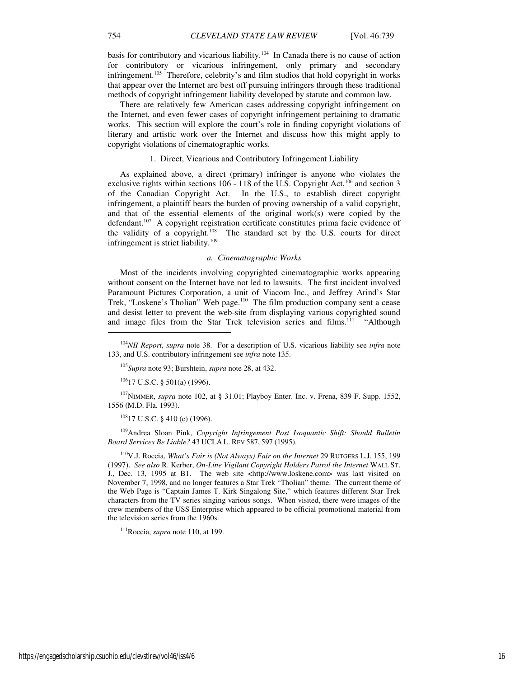basis for contributory and vicarious liability.<sup>104</sup> In Canada there is no cause of action for contributory or vicarious infringement, only primary and secondary infringement.<sup>105</sup> Therefore, celebrity's and film studios that hold copyright in works that appear over the Internet are best off pursuing infringers through these traditional methods of copyright infringement liability developed by statute and common law.

There are relatively few American cases addressing copyright infringement on the Internet, and even fewer cases of copyright infringement pertaining to dramatic works. This section will explore the court's role in finding copyright violations of literary and artistic work over the Internet and discuss how this might apply to copyright violations of cinematographic works.

## 1. Direct, Vicarious and Contributory Infringement Liability

As explained above, a direct (primary) infringer is anyone who violates the exclusive rights within sections  $106 - 118$  of the U.S. Copyright Act,<sup>106</sup> and section 3 of the Canadian Copyright Act. In the U.S., to establish direct copyright infringement, a plaintiff bears the burden of proving ownership of a valid copyright, and that of the essential elements of the original work(s) were copied by the defendant.<sup>107</sup> A copyright registration certificate constitutes prima facie evidence of the validity of a copyright.<sup>108</sup> The standard set by the U.S. courts for direct The standard set by the U.S. courts for direct infringement is strict liability.<sup>109</sup>

#### *a. Cinematographic Works*

Most of the incidents involving copyrighted cinematographic works appearing without consent on the Internet have not led to lawsuits. The first incident involved Paramount Pictures Corporation, a unit of Viacom Inc., and Jeffrey Arind's Star Trek, "Loskene's Tholian" Web page.<sup>110</sup> The film production company sent a cease and desist letter to prevent the web-site from displaying various copyrighted sound and image files from the Star Trek television series and films.<sup>111</sup> "Although

 $10617$  U.S.C. § 501(a) (1996).

<sup>107</sup>NIMMER, *supra* note 102, at § 31.01; Playboy Enter. Inc. v. Frena, 839 F. Supp. 1552, 1556 (M.D. Fla. 1993).

 $10817$  U.S.C. § 410 (c) (1996).

<sup>109</sup>Andrea Sloan Pink, *Copyright Infringement Post Isoquantic Shift: Should Bulletin Board Services Be Liable?* 43 UCLA L. REV 587, 597 (1995).

<sup>110</sup>V.J. Roccia, *What's Fair is (Not Always) Fair on the Internet* 29 RUTGERS L.J. 155, 199 (1997). *See also* R. Kerber, *On-Line Vigilant Copyright Holders Patrol the Internet* WALL ST. J., Dec. 13, 1995 at B1. The web site <http://www.loskene.com> was last visited on November 7, 1998, and no longer features a Star Trek "Tholian" theme. The current theme of the Web Page is "Captain James T. Kirk Singalong Site," which features different Star Trek characters from the TV series singing various songs. When visited, there were images of the crew members of the USS Enterprise which appeared to be official promotional material from the television series from the 1960s.

<sup>111</sup>Roccia, *supra* note 110, at 199.

1

<sup>104</sup>*NII Report*, *supra* note 38. For a description of U.S. vicarious liability see *infra* note 133, and U.S. contributory infringement see *infra* note 135.

<sup>105</sup>*Supra* note 93; Burshtein, *supra* note 28, at 432.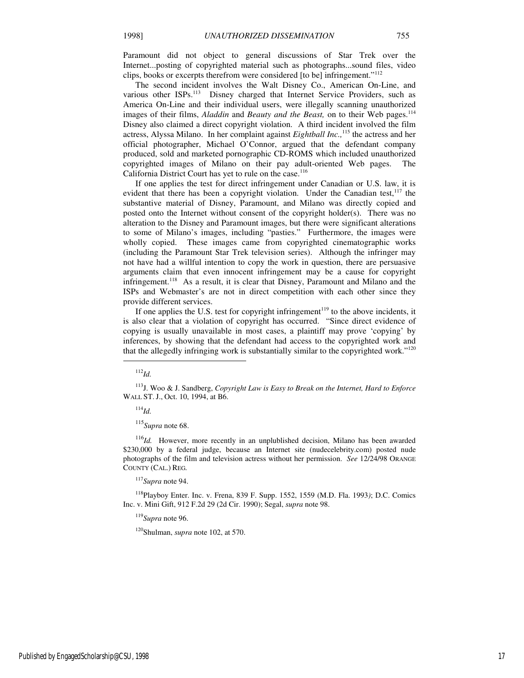Paramount did not object to general discussions of Star Trek over the Internet...posting of copyrighted material such as photographs...sound files, video clips, books or excerpts therefrom were considered [to be] infringement."<sup>112</sup>

The second incident involves the Walt Disney Co., American On-Line, and various other ISPs.<sup>113</sup> Disney charged that Internet Service Providers, such as America On-Line and their individual users, were illegally scanning unauthorized images of their films, *Aladdin* and *Beauty and the Beast*, on to their Web pages.<sup>114</sup> Disney also claimed a direct copyright violation. A third incident involved the film actress, Alyssa Milano. In her complaint against *Eightball Inc.,*<sup>115</sup> the actress and her official photographer, Michael O'Connor, argued that the defendant company produced, sold and marketed pornographic CD-ROMS which included unauthorized copyrighted images of Milano on their pay adult-oriented Web pages. The California District Court has yet to rule on the case.<sup>116</sup>

If one applies the test for direct infringement under Canadian or U.S. law, it is evident that there has been a copyright violation. Under the Canadian test, $117$  the substantive material of Disney, Paramount, and Milano was directly copied and posted onto the Internet without consent of the copyright holder(s). There was no alteration to the Disney and Paramount images, but there were significant alterations to some of Milano's images, including "pasties." Furthermore, the images were wholly copied. These images came from copyrighted cinematographic works (including the Paramount Star Trek television series). Although the infringer may not have had a willful intention to copy the work in question, there are persuasive arguments claim that even innocent infringement may be a cause for copyright infringement.<sup>118</sup> As a result, it is clear that Disney, Paramount and Milano and the ISPs and Webmaster's are not in direct competition with each other since they provide different services.

If one applies the U.S. test for copyright infringement $119$  to the above incidents, it is also clear that a violation of copyright has occurred. "Since direct evidence of copying is usually unavailable in most cases, a plaintiff may prove 'copying' by inferences, by showing that the defendant had access to the copyrighted work and that the allegedly infringing work is substantially similar to the copyrighted work."<sup>120</sup>

j

<sup>115</sup>*Supra* note 68.

<sup>116</sup>*Id.* However, more recently in an unplublished decision, Milano has been awarded \$230,000 by a federal judge, because an Internet site (nudecelebrity.com) posted nude photographs of the film and television actress without her permission. *See* 12/24/98 ORANGE COUNTY (CAL.) REG*.*

<sup>117</sup>*Supra* note 94.

<sup>118</sup>Playboy Enter. Inc. v. Frena, 839 F. Supp. 1552, 1559 (M.D. Fla. 1993*)*; D.C. Comics Inc. v. Mini Gift, 912 F.2d 29 (2d Cir. 1990); Segal, *supra* note 98.

<sup>119</sup>*Supra* note 96.

<sup>120</sup>Shulman, *supra* note 102, at 570.

<sup>112</sup>*Id.*

<sup>113</sup>J. Woo & J. Sandberg, *Copyright Law is Easy to Break on the Internet, Hard to Enforce* WALL ST. J., Oct. 10, 1994, at B6.

<sup>114</sup>*Id.*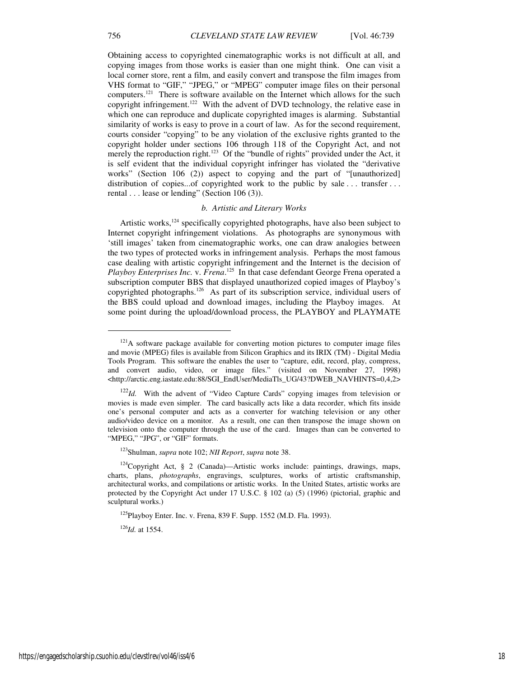Obtaining access to copyrighted cinematographic works is not difficult at all, and copying images from those works is easier than one might think. One can visit a local corner store, rent a film, and easily convert and transpose the film images from VHS format to "GIF," "JPEG," or "MPEG" computer image files on their personal computers.<sup>121</sup> There is software available on the Internet which allows for the such copyright infringement.<sup>122</sup> With the advent of DVD technology, the relative ease in which one can reproduce and duplicate copyrighted images is alarming. Substantial similarity of works is easy to prove in a court of law. As for the second requirement, courts consider "copying" to be any violation of the exclusive rights granted to the copyright holder under sections 106 through 118 of the Copyright Act, and not merely the reproduction right.<sup>123</sup> Of the "bundle of rights" provided under the Act, it is self evident that the individual copyright infringer has violated the "derivative works" (Section 106 (2)) aspect to copying and the part of "[unauthorized] distribution of copies...of copyrighted work to the public by sale ... transfer ... rental . . . lease or lending" (Section 106 (3)).

## *b. Artistic and Literary Works*

Artistic works, $^{124}$  specifically copyrighted photographs, have also been subject to Internet copyright infringement violations. As photographs are synonymous with 'still images' taken from cinematographic works, one can draw analogies between the two types of protected works in infringement analysis. Perhaps the most famous case dealing with artistic copyright infringement and the Internet is the decision of Playboy Enterprises Inc. v. Frena.<sup>125</sup> In that case defendant George Frena operated a subscription computer BBS that displayed unauthorized copied images of Playboy's copyrighted photographs.<sup>126</sup> As part of its subscription service, individual users of the BBS could upload and download images, including the Playboy images. At some point during the upload/download process, the PLAYBOY and PLAYMATE

<sup>123</sup>Shulman, *supra* note 102; *NII Report*, *supra* note 38.

 $125$ Playboy Enter. Inc. v. Frena, 839 F. Supp. 1552 (M.D. Fla. 1993).

<sup>126</sup>*Id.* at 1554.

1

<sup>&</sup>lt;sup>121</sup>A software package available for converting motion pictures to computer image files and movie (MPEG) files is available from Silicon Graphics and its IRIX (TM) - Digital Media Tools Program. This software the enables the user to "capture, edit, record, play, compress, and convert audio, video, or image files." (visited on November 27, 1998) <http://arctic.eng.iastate.edu:88/SGI\_EndUser/MediaTls\_UG/43?DWEB\_NAVHINTS=0,4,2>

<sup>&</sup>lt;sup>122</sup>*Id.* With the advent of "Video Capture Cards" copying images from television or movies is made even simpler. The card basically acts like a data recorder, which fits inside one's personal computer and acts as a converter for watching television or any other audio/video device on a monitor. As a result, one can then transpose the image shown on television onto the computer through the use of the card. Images than can be converted to "MPEG," "JPG", or "GIF" formats.

<sup>124</sup>Copyright Act, § 2 (Canada)—Artistic works include: paintings, drawings, maps, charts, plans, *photographs*, engravings, sculptures, works of artistic craftsmanship, architectural works, and compilations or artistic works. In the United States, artistic works are protected by the Copyright Act under 17 U.S.C. § 102 (a) (5) (1996) (pictorial, graphic and sculptural works.)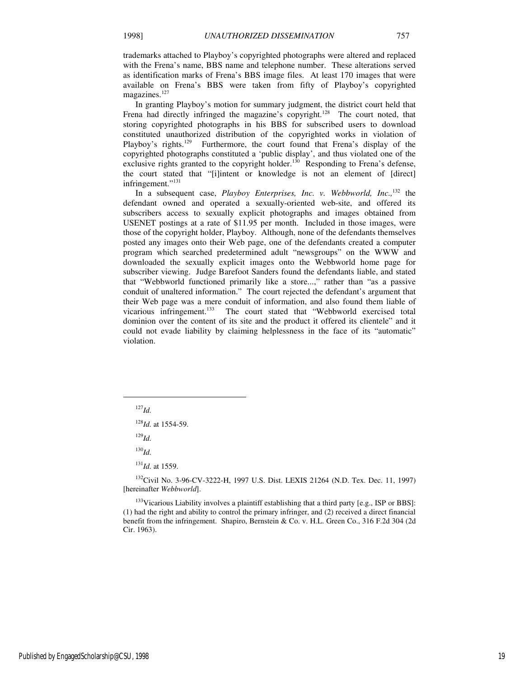trademarks attached to Playboy's copyrighted photographs were altered and replaced with the Frena's name, BBS name and telephone number. These alterations served as identification marks of Frena's BBS image files. At least 170 images that were available on Frena's BBS were taken from fifty of Playboy's copyrighted magazines.<sup>127</sup>

In granting Playboy's motion for summary judgment, the district court held that Frena had directly infringed the magazine's copyright.<sup>128</sup> The court noted, that storing copyrighted photographs in his BBS for subscribed users to download constituted unauthorized distribution of the copyrighted works in violation of Playboy's rights.<sup>129</sup> Furthermore, the court found that Frena's display of the copyrighted photographs constituted a 'public display', and thus violated one of the exclusive rights granted to the copyright holder.<sup>130</sup> Responding to Frena's defense, the court stated that "[i]intent or knowledge is not an element of [direct] infringement."<sup>131</sup>

In a subsequent case, *Playboy Enterprises, Inc. v. Webbworld, Inc.,*<sup>132</sup> the defendant owned and operated a sexually-oriented web-site, and offered its subscribers access to sexually explicit photographs and images obtained from USENET postings at a rate of \$11.95 per month. Included in those images, were those of the copyright holder, Playboy. Although, none of the defendants themselves posted any images onto their Web page, one of the defendants created a computer program which searched predetermined adult "newsgroups" on the WWW and downloaded the sexually explicit images onto the Webbworld home page for subscriber viewing. Judge Barefoot Sanders found the defendants liable, and stated that "Webbworld functioned primarily like a store...," rather than "as a passive conduit of unaltered information." The court rejected the defendant's argument that their Web page was a mere conduit of information, and also found them liable of vicarious infringement.<sup>133</sup> The court stated that "Webbworld exercised total dominion over the content of its site and the product it offered its clientele" and it could not evade liability by claiming helplessness in the face of its "automatic" violation.

<sup>127</sup>*Id.*

j

<sup>128</sup>*Id.* at 1554-59.

<sup>129</sup>*Id.*

<sup>130</sup>*Id.*

<sup>131</sup>*Id.* at 1559.

<sup>132</sup>Civil No. 3-96-CV-3222-H, 1997 U.S. Dist. LEXIS 21264 (N.D. Tex. Dec. 11, 1997) [hereinafter *Webbworld*].

<sup>133</sup>Vicarious Liability involves a plaintiff establishing that a third party [e.g., ISP or BBS]: (1) had the right and ability to control the primary infringer, and (2) received a direct financial benefit from the infringement. Shapiro, Bernstein & Co. v. H.L. Green Co., 316 F.2d 304 (2d Cir. 1963).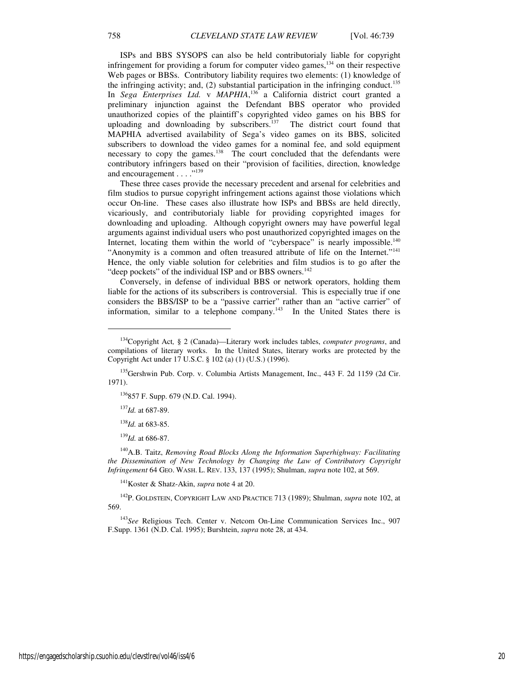ISPs and BBS SYSOPS can also be held contributorialy liable for copyright infringement for providing a forum for computer video games, $134$  on their respective Web pages or BBSs. Contributory liability requires two elements: (1) knowledge of the infringing activity; and,  $(2)$  substantial participation in the infringing conduct.<sup>135</sup> In *Sega Enterprises Ltd.* v *MAPHIA*, <sup>136</sup> a California district court granted a preliminary injunction against the Defendant BBS operator who provided unauthorized copies of the plaintiff's copyrighted video games on his BBS for uploading and downloading by subscribers.<sup>137</sup> The district court found that MAPHIA advertised availability of Sega's video games on its BBS, solicited subscribers to download the video games for a nominal fee, and sold equipment necessary to copy the games.<sup>138</sup> The court concluded that the defendants were contributory infringers based on their "provision of facilities, direction, knowledge and encouragement . . . . "<sup>139</sup>

These three cases provide the necessary precedent and arsenal for celebrities and film studios to pursue copyright infringement actions against those violations which occur On-line. These cases also illustrate how ISPs and BBSs are held directly, vicariously, and contributorialy liable for providing copyrighted images for downloading and uploading. Although copyright owners may have powerful legal arguments against individual users who post unauthorized copyrighted images on the Internet, locating them within the world of "cyberspace" is nearly impossible.<sup>140</sup> "Anonymity is a common and often treasured attribute of life on the Internet."<sup>141</sup> Hence, the only viable solution for celebrities and film studios is to go after the "deep pockets" of the individual ISP and or BBS owners.<sup>142</sup>

Conversely, in defense of individual BBS or network operators, holding them liable for the actions of its subscribers is controversial. This is especially true if one considers the BBS/ISP to be a "passive carrier" rather than an "active carrier" of information, similar to a telephone company.<sup>143</sup> In the United States there is

<sup>137</sup>*Id.* at 687-89.

 $\overline{a}$ 

<sup>138</sup>*Id.* at 683-85.

<sup>139</sup>*Id.* at 686-87.

<sup>140</sup>A.B. Taitz, *Removing Road Blocks Along the Information Superhighway: Facilitating the Dissemination of New Technology by Changing the Law of Contributory Copyright Infringement* 64 GEO. WASH. L. REV. 133, 137 (1995); Shulman, *supra* note 102, at 569.

<sup>141</sup>Koster & Shatz-Akin, *supra* note 4 at 20.

<sup>142</sup>P. GOLDSTEIN, COPYRIGHT LAW AND PRACTICE 713 (1989); Shulman, *supra* note 102, at 569.

<sup>143</sup>*See* Religious Tech. Center v. Netcom On-Line Communication Services Inc., 907 F.Supp. 1361 (N.D. Cal. 1995); Burshtein, *supra* note 28, at 434.

<sup>134</sup>Copyright Act*,* § 2 (Canada)—Literary work includes tables, *computer programs*, and compilations of literary works. In the United States, literary works are protected by the Copyright Act under 17 U.S.C. § 102 (a) (1) (U.S.) (1996).

<sup>&</sup>lt;sup>135</sup>Gershwin Pub. Corp. v. Columbia Artists Management, Inc., 443 F. 2d 1159 (2d Cir. 1971).

<sup>136</sup>857 F. Supp. 679 (N.D. Cal. 1994).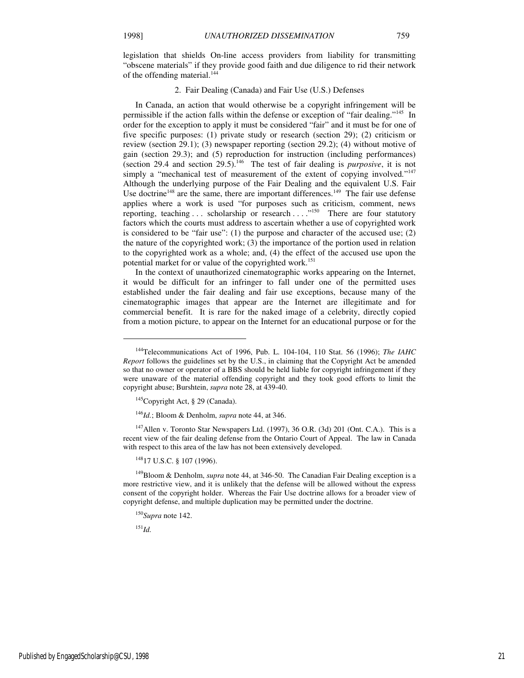legislation that shields On-line access providers from liability for transmitting "obscene materials" if they provide good faith and due diligence to rid their network of the offending material.<sup>144</sup>

## 2. Fair Dealing (Canada) and Fair Use (U.S.) Defenses

In Canada, an action that would otherwise be a copyright infringement will be permissible if the action falls within the defense or exception of "fair dealing."<sup>145</sup> In order for the exception to apply it must be considered "fair" and it must be for one of five specific purposes: (1) private study or research (section 29); (2) criticism or review (section 29.1); (3) newspaper reporting (section 29.2); (4) without motive of gain (section 29.3); and (5) reproduction for instruction (including performances)  $\overline{\text{c}}$  (section 29.4 and section 29.5).<sup>146</sup> The test of fair dealing is *purposive*, it is not simply a "mechanical test of measurement of the extent of copying involved."<sup>147</sup> Although the underlying purpose of the Fair Dealing and the equivalent U.S. Fair Use doctrine<sup>148</sup> are the same, there are important differences.<sup>149</sup> The fair use defense applies where a work is used "for purposes such as criticism, comment, news reporting, teaching ... scholarship or research ...  $\cdot$ <sup>150</sup> There are four statutory factors which the courts must address to ascertain whether a use of copyrighted work is considered to be "fair use":  $(1)$  the purpose and character of the accused use;  $(2)$ the nature of the copyrighted work; (3) the importance of the portion used in relation to the copyrighted work as a whole; and, (4) the effect of the accused use upon the potential market for or value of the copyrighted work.<sup>151</sup>

In the context of unauthorized cinematographic works appearing on the Internet, it would be difficult for an infringer to fall under one of the permitted uses established under the fair dealing and fair use exceptions, because many of the cinematographic images that appear are the Internet are illegitimate and for commercial benefit. It is rare for the naked image of a celebrity, directly copied from a motion picture, to appear on the Internet for an educational purpose or for the

 $147$ Allen v. Toronto Star Newspapers Ltd. (1997), 36 O.R. (3d) 201 (Ont. C.A.). This is a recent view of the fair dealing defense from the Ontario Court of Appeal. The law in Canada with respect to this area of the law has not been extensively developed.

148<sub>17</sub> U.S.C. § 107 (1996).

<sup>149</sup>Bloom & Denholm, *supra* note 44, at 346-50. The Canadian Fair Dealing exception is a more restrictive view, and it is unlikely that the defense will be allowed without the express consent of the copyright holder. Whereas the Fair Use doctrine allows for a broader view of copyright defense, and multiple duplication may be permitted under the doctrine.

<sup>150</sup>*Supra* note 142.

<sup>151</sup>*Id.*

1

<sup>144</sup>Telecommunications Act of 1996, Pub. L. 104-104, 110 Stat. 56 (1996); *The IAHC Report* follows the guidelines set by the U.S., in claiming that the Copyright Act be amended so that no owner or operator of a BBS should be held liable for copyright infringement if they were unaware of the material offending copyright and they took good efforts to limit the copyright abuse; Burshtein, *supra* note 28, at 439-40.

 $145$ Copyright Act, § 29 (Canada).

<sup>146</sup>*Id.*; Bloom & Denholm, *supra* note 44, at 346.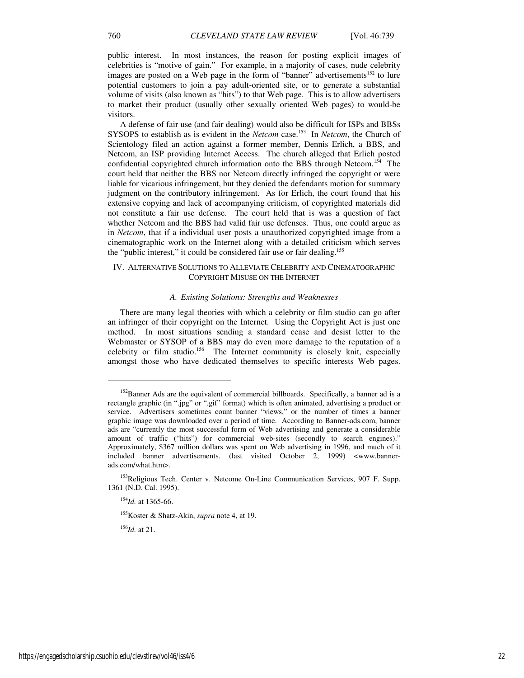public interest. In most instances, the reason for posting explicit images of celebrities is "motive of gain." For example, in a majority of cases, nude celebrity images are posted on a Web page in the form of "banner" advertisements<sup>152</sup> to lure potential customers to join a pay adult-oriented site, or to generate a substantial volume of visits (also known as "hits") to that Web page. This is to allow advertisers to market their product (usually other sexually oriented Web pages) to would-be visitors.

A defense of fair use (and fair dealing) would also be difficult for ISPs and BBSs SYSOPS to establish as is evident in the *Netcom* case.<sup>153</sup> In *Netcom*, the Church of Scientology filed an action against a former member, Dennis Erlich, a BBS, and Netcom, an ISP providing Internet Access. The church alleged that Erlich posted confidential copyrighted church information onto the BBS through Netcom.<sup>154</sup> The court held that neither the BBS nor Netcom directly infringed the copyright or were liable for vicarious infringement, but they denied the defendants motion for summary judgment on the contributory infringement. As for Erlich, the court found that his extensive copying and lack of accompanying criticism, of copyrighted materials did not constitute a fair use defense. The court held that is was a question of fact whether Netcom and the BBS had valid fair use defenses. Thus, one could argue as in *Netcom*, that if a individual user posts a unauthorized copyrighted image from a cinematographic work on the Internet along with a detailed criticism which serves the "public interest," it could be considered fair use or fair dealing.<sup>155</sup>

## IV. ALTERNATIVE SOLUTIONS TO ALLEVIATE CELEBRITY AND CINEMATOGRAPHIC COPYRIGHT MISUSE ON THE INTERNET

## *A. Existing Solutions: Strengths and Weaknesses*

There are many legal theories with which a celebrity or film studio can go after an infringer of their copyright on the Internet. Using the Copyright Act is just one method. In most situations sending a standard cease and desist letter to the Webmaster or SYSOP of a BBS may do even more damage to the reputation of a celebrity or film studio.<sup>156</sup> The Internet community is closely knit, especially amongst those who have dedicated themselves to specific interests Web pages.

<sup>154</sup>*Id.* at 1365-66.

<sup>155</sup>Koster & Shatz-Akin, *supra* note 4, at 19.

<sup>156</sup>*Id.* at 21.

1

<sup>&</sup>lt;sup>152</sup>Banner Ads are the equivalent of commercial billboards. Specifically, a banner ad is a rectangle graphic (in ".jpg" or ".gif" format) which is often animated, advertising a product or service. Advertisers sometimes count banner "views," or the number of times a banner graphic image was downloaded over a period of time. According to Banner-ads.com, banner ads are "currently the most successful form of Web advertising and generate a considerable amount of traffic ("hits") for commercial web-sites (secondly to search engines)." Approximately, \$367 million dollars was spent on Web advertising in 1996, and much of it included banner advertisements. (last visited October 2, 1999) <www.bannerads.com/what.htm>.

<sup>&</sup>lt;sup>153</sup>Religious Tech. Center v. Netcome On-Line Communication Services, 907 F. Supp. 1361 (N.D. Cal. 1995).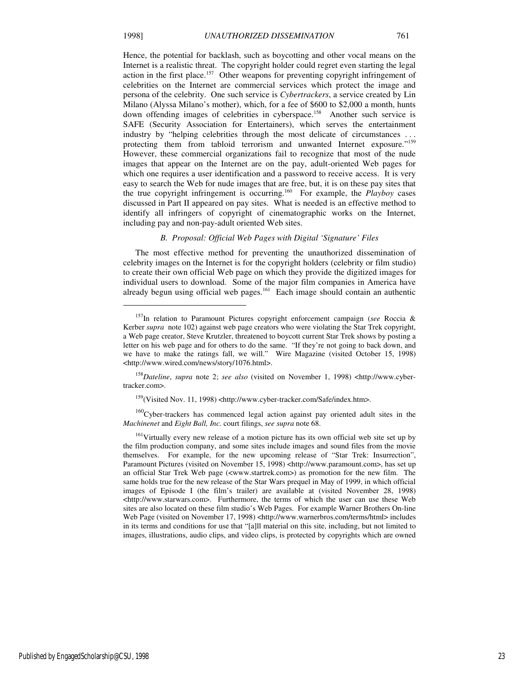j

Hence, the potential for backlash, such as boycotting and other vocal means on the Internet is a realistic threat. The copyright holder could regret even starting the legal action in the first place.<sup>157</sup> Other weapons for preventing copyright infringement of celebrities on the Internet are commercial services which protect the image and persona of the celebrity. One such service is *Cybertrackers*, a service created by Lin Milano (Alyssa Milano's mother), which, for a fee of \$600 to \$2,000 a month, hunts down offending images of celebrities in cyberspace.<sup>158</sup> Another such service is SAFE (Security Association for Entertainers), which serves the entertainment industry by "helping celebrities through the most delicate of circumstances . . . protecting them from tabloid terrorism and unwanted Internet exposure."<sup>159</sup> However, these commercial organizations fail to recognize that most of the nude images that appear on the Internet are on the pay, adult-oriented Web pages for which one requires a user identification and a password to receive access. It is very easy to search the Web for nude images that are free, but, it is on these pay sites that the true copyright infringement is occurring.<sup>160</sup> For example, the *Playboy* cases discussed in Part II appeared on pay sites. What is needed is an effective method to identify all infringers of copyright of cinematographic works on the Internet,

#### *B. Proposal: Official Web Pages with Digital 'Signature' Files*

including pay and non-pay-adult oriented Web sites.

The most effective method for preventing the unauthorized dissemination of celebrity images on the Internet is for the copyright holders (celebrity or film studio) to create their own official Web page on which they provide the digitized images for individual users to download. Some of the major film companies in America have already begun using official web pages.<sup>161</sup> Each image should contain an authentic

<sup>157</sup>In relation to Paramount Pictures copyright enforcement campaign (*see* Roccia & Kerber *supra* note 102) against web page creators who were violating the Star Trek copyright, a Web page creator, Steve Krutzler, threatened to boycott current Star Trek shows by posting a letter on his web page and for others to do the same. "If they're not going to back down, and we have to make the ratings fall, we will." Wire Magazine (visited October 15, 1998) <http://www.wired.com/news/story/1076.html>.

<sup>158</sup>*Dateline*, *supra* note 2; *see also* (visited on November 1, 1998) <http://www.cybertracker.com>.

<sup>&</sup>lt;sup>159</sup>(Visited Nov. 11, 1998) <http://www.cyber-tracker.com/Safe/index.htm>.

<sup>160</sup>Cyber-trackers has commenced legal action against pay oriented adult sites in the *Machinenet* and *Eight Ball, Inc.* court filings, *see supra* note 68.

<sup>&</sup>lt;sup>161</sup>Virtually every new release of a motion picture has its own official web site set up by the film production company, and some sites include images and sound files from the movie themselves. For example, for the new upcoming release of "Star Trek: Insurrection", Paramount Pictures (visited on November 15, 1998) <http://www.paramount.com>, has set up an official Star Trek Web page (<www.startrek.com>) as promotion for the new film. The same holds true for the new release of the Star Wars prequel in May of 1999, in which official images of Episode I (the film's trailer) are available at (visited November 28, 1998) <http://www.starwars.com>. Furthermore, the terms of which the user can use these Web sites are also located on these film studio's Web Pages. For example Warner Brothers On-line Web Page (visited on November 17, 1998) <http://www.warnerbros.com/terms/html> includes in its terms and conditions for use that "[a]ll material on this site, including, but not limited to images, illustrations, audio clips, and video clips, is protected by copyrights which are owned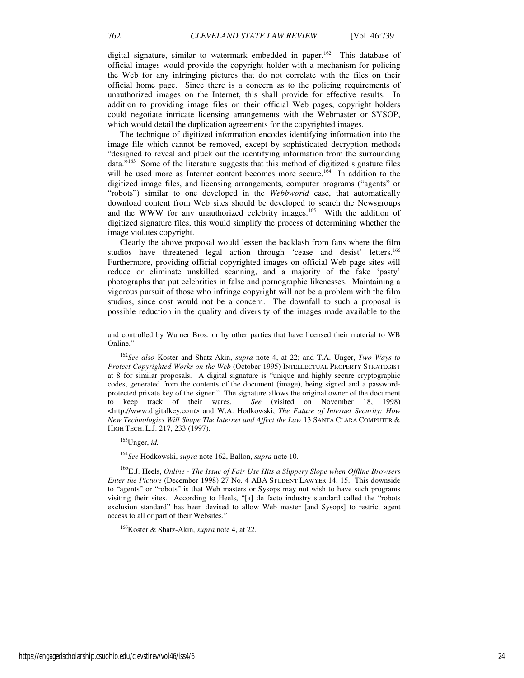digital signature, similar to watermark embedded in paper.<sup>162</sup> This database of official images would provide the copyright holder with a mechanism for policing the Web for any infringing pictures that do not correlate with the files on their official home page. Since there is a concern as to the policing requirements of unauthorized images on the Internet, this shall provide for effective results. In addition to providing image files on their official Web pages, copyright holders could negotiate intricate licensing arrangements with the Webmaster or SYSOP, which would detail the duplication agreements for the copyrighted images.

The technique of digitized information encodes identifying information into the image file which cannot be removed, except by sophisticated decryption methods "designed to reveal and pluck out the identifying information from the surrounding data."<sup>163</sup> Some of the literature suggests that this method of digitized signature files will be used more as Internet content becomes more secure.<sup>164</sup> In addition to the digitized image files, and licensing arrangements, computer programs ("agents" or "robots") similar to one developed in the *Webbworld* case, that automatically download content from Web sites should be developed to search the Newsgroups and the WWW for any unauthorized celebrity images.<sup>165</sup> With the addition of digitized signature files, this would simplify the process of determining whether the image violates copyright.

Clearly the above proposal would lessen the backlash from fans where the film studios have threatened legal action through 'cease and desist' letters.<sup>166</sup> Furthermore, providing official copyrighted images on official Web page sites will reduce or eliminate unskilled scanning, and a majority of the fake 'pasty' photographs that put celebrities in false and pornographic likenesses. Maintaining a vigorous pursuit of those who infringe copyright will not be a problem with the film studios, since cost would not be a concern. The downfall to such a proposal is possible reduction in the quality and diversity of the images made available to the

<sup>163</sup>Unger, *id.*

-

<sup>164</sup>*See* Hodkowski, *supra* note 162, Ballon, *supra* note 10.

<sup>165</sup>E.J. Heels, *Online - The Issue of Fair Use Hits a Slippery Slope when Offline Browsers Enter the Picture* (December 1998) 27 No. 4 ABA STUDENT LAWYER 14, 15. This downside to "agents" or "robots" is that Web masters or Sysops may not wish to have such programs visiting their sites. According to Heels, "[a] de facto industry standard called the "robots exclusion standard" has been devised to allow Web master [and Sysops] to restrict agent access to all or part of their Websites."

<sup>166</sup>Koster & Shatz-Akin, *supra* note 4, at 22.

and controlled by Warner Bros. or by other parties that have licensed their material to WB Online."

<sup>162</sup>*See also* Koster and Shatz-Akin, *supra* note 4, at 22; and T.A. Unger, *Two Ways to Protect Copyrighted Works on the Web* (October 1995) INTELLECTUAL PROPERTY STRATEGIST at 8 for similar proposals. A digital signature is "unique and highly secure cryptographic codes, generated from the contents of the document (image), being signed and a passwordprotected private key of the signer." The signature allows the original owner of the document to keep track of their wares. *See* (visited on November 18, 1998) <http://www.digitalkey.com> and W.A. Hodkowski, *The Future of Internet Security: How New Technologies Will Shape The Internet and Affect the Law* 13 SANTA CLARA COMPUTER & HIGH TECH. L.J. 217, 233 (1997).